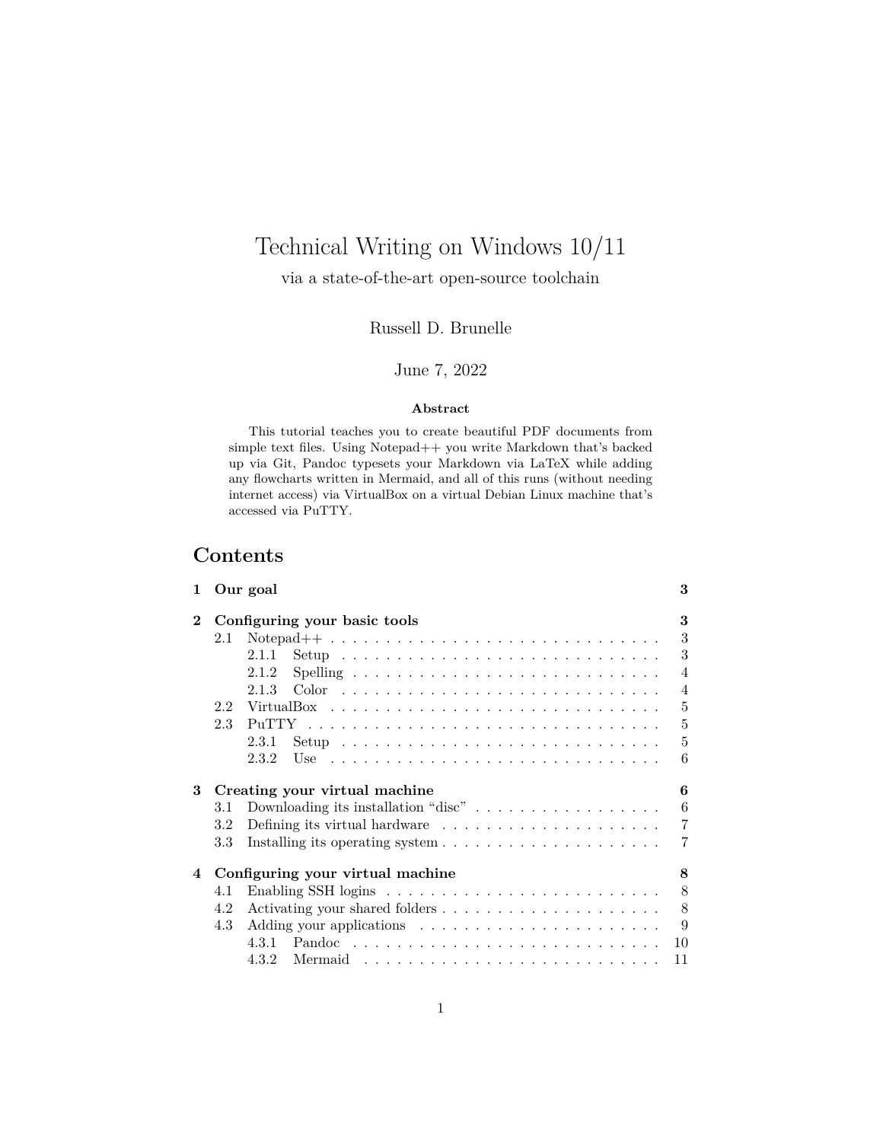# Technical Writing on Windows 10/11

via a state-of-the-art open-source toolchain

Russell D. Brunelle

#### June 7, 2022

#### **Abstract**

This tutorial teaches you to create beautiful PDF documents from simple text files. Using Notepad++ you write Markdown that's backed up via Git, Pandoc typesets your Markdown via LaTeX while adding any flowcharts written in Mermaid, and all of this runs (without needing internet access) via VirtualBox on a virtual Debian Linux machine that's accessed via PuTTY.

## **Contents**

| $\mathbf{1}$   |     | Our goal                                                                           | 3              |
|----------------|-----|------------------------------------------------------------------------------------|----------------|
| $\bf{2}$       |     | Configuring your basic tools                                                       | 3              |
|                | 2.1 | Notepad $++ \ldots \ldots \ldots \ldots \ldots \ldots \ldots \ldots \ldots \ldots$ | 3              |
|                |     | 2.1.1                                                                              | 3              |
|                |     | 2.1.2                                                                              | $\overline{4}$ |
|                |     | 2.1.3                                                                              | $\overline{4}$ |
|                | 2.2 |                                                                                    | 5              |
|                | 2.3 |                                                                                    | $\overline{5}$ |
|                |     | 2.3.1                                                                              | 5              |
|                |     | 2.3.2                                                                              | 6              |
| 3              |     | Creating your virtual machine                                                      | 6              |
|                | 3.1 | Downloading its installation "disc" $\ldots \ldots \ldots \ldots \ldots$           | 6              |
|                | 3.2 | Defining its virtual hardware $\dots \dots \dots \dots \dots \dots \dots$          | $\overline{7}$ |
|                | 3.3 |                                                                                    | 7              |
| $\overline{4}$ |     | Configuring your virtual machine                                                   | 8              |
|                | 4.1 |                                                                                    | 8              |
|                | 4.2 |                                                                                    | 8              |
|                | 4.3 |                                                                                    | 9              |
|                |     |                                                                                    | 10             |
|                |     | 4.3.2                                                                              | 11             |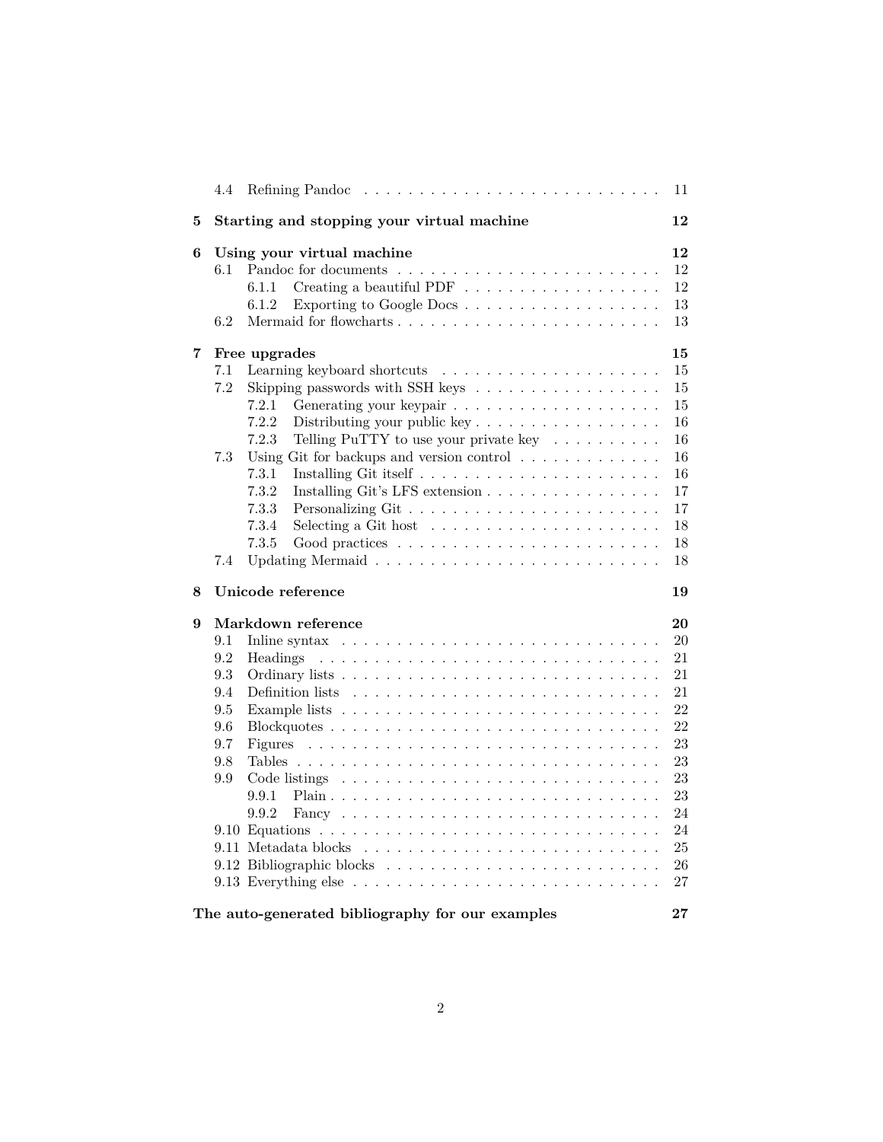|   | 4.4 | Refining Pandoc                                                                                                            | 11     |
|---|-----|----------------------------------------------------------------------------------------------------------------------------|--------|
| 5 |     | Starting and stopping your virtual machine                                                                                 | 12     |
| 6 |     | Using your virtual machine                                                                                                 | 12     |
|   | 6.1 |                                                                                                                            | 12     |
|   |     | Creating a beautiful PDF $\ldots \ldots \ldots \ldots \ldots \ldots$<br>6.1.1                                              | 12     |
|   |     | Exporting to Google Docs<br>6.1.2                                                                                          | 13     |
|   | 6.2 |                                                                                                                            | 13     |
| 7 |     | Free upgrades                                                                                                              | 15     |
|   | 7.1 |                                                                                                                            | 15     |
|   | 7.2 | Skipping passwords with SSH keys                                                                                           | 15     |
|   |     | 7.2.1                                                                                                                      | 15     |
|   |     | 7.2.2                                                                                                                      | 16     |
|   |     | 7.2.3<br>Telling PuTTY to use your private key $\dots \dots \dots$                                                         | 16     |
|   | 7.3 | Using Git for backups and version control $\ldots \ldots \ldots \ldots$                                                    | 16     |
|   |     | 7.3.1                                                                                                                      | 16     |
|   |     | 7.3.2<br>Installing Git's LFS extension                                                                                    | 17     |
|   |     | 7.3.3                                                                                                                      | 17     |
|   |     | 7.3.4<br>Selecting a Git host $\dots \dots \dots \dots \dots \dots \dots \dots$                                            | 18     |
|   |     | 7.3.5                                                                                                                      | 18     |
|   | 7.4 |                                                                                                                            | 18     |
| 8 |     | Unicode reference                                                                                                          | 19     |
| 9 |     | Markdown reference                                                                                                         | 20     |
|   | 9.1 | In line syntax $\ldots \ldots \ldots \ldots \ldots \ldots \ldots \ldots \ldots$                                            | 20     |
|   | 9.2 | Headings                                                                                                                   | 21     |
|   | 9.3 |                                                                                                                            | 21     |
|   | 9.4 | Definition lists                                                                                                           | 21     |
|   | 9.5 | Example lists $\ldots \ldots \ldots \ldots \ldots \ldots \ldots \ldots \ldots \ldots$                                      | 22     |
|   | 9.6 |                                                                                                                            | 22     |
|   | 9.7 | Figures<br>the contract of the contract of the contract of the contract of the contract of the contract of the contract of | 23     |
|   | 9.8 |                                                                                                                            | 23     |
|   | 9.9 | Code listings                                                                                                              | 23     |
|   |     | 9.9.1                                                                                                                      | 23     |
|   |     | 9.9.2                                                                                                                      | 24     |
|   |     |                                                                                                                            | 24     |
|   |     |                                                                                                                            | 25     |
|   |     |                                                                                                                            | 26     |
|   |     |                                                                                                                            | 27     |
|   |     | The auto-generated bibliography for our examples                                                                           | $27\,$ |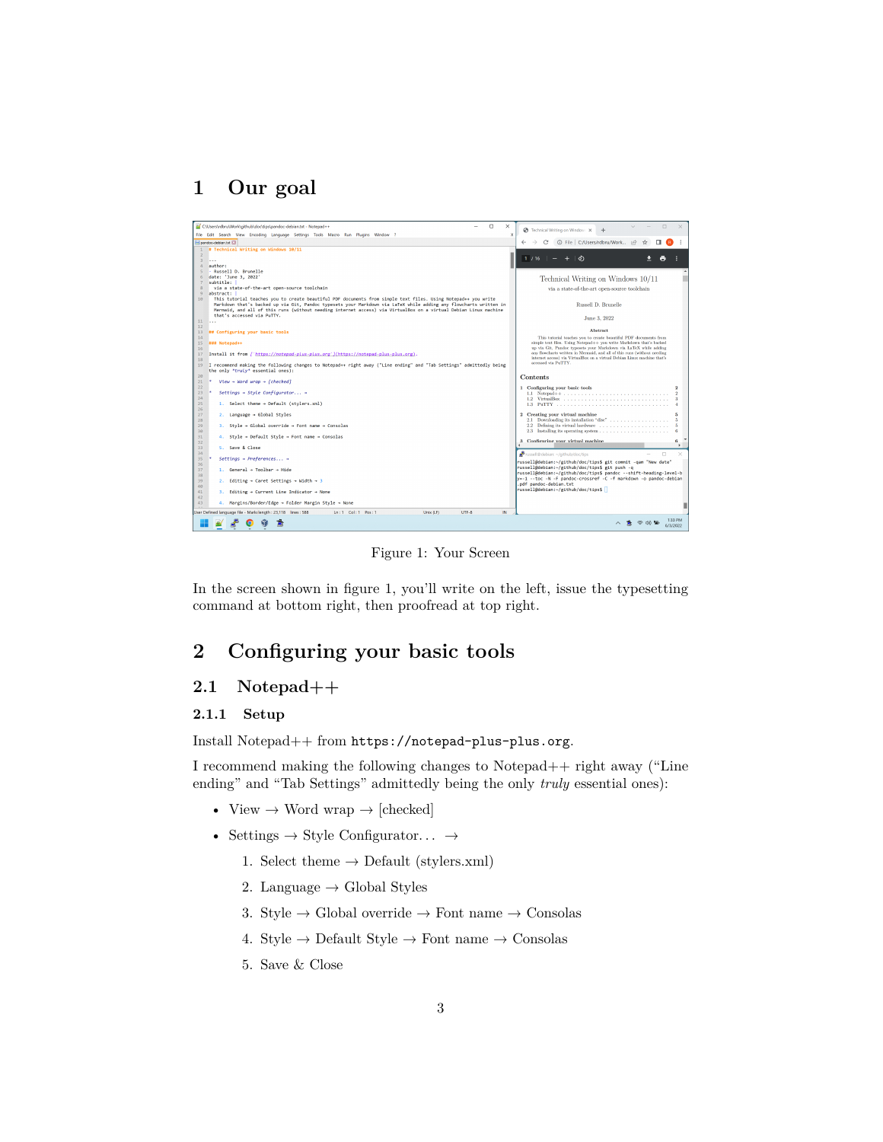## <span id="page-2-0"></span>**1 Our goal**

<span id="page-2-4"></span>

Figure 1: Your Screen

In the screen shown in figure [1,](#page-2-4) you'll write on the left, issue the typesetting command at bottom right, then proofread at top right.

## <span id="page-2-1"></span>**2 Configuring your basic tools**

### <span id="page-2-2"></span>**2.1 Notepad++**

#### <span id="page-2-3"></span>**2.1.1 Setup**

Install Notepad++ from <https://notepad-plus-plus.org>.

I recommend making the following changes to Notepad++ right away ("Line ending" and "Tab Settings" admittedly being the only *truly* essential ones):

- View  $\rightarrow$  Word wrap  $\rightarrow$  [checked]
- Settings  $\rightarrow$  Style Configurator...  $\rightarrow$ 
	- 1. Select theme  $\rightarrow$  Default (stylers.xml)
	- 2. Language  $\rightarrow$  Global Styles
	- 3. Style  $\rightarrow$  Global override  $\rightarrow$  Font name  $\rightarrow$  Consolas
	- 4. Style  $\rightarrow$  Default Style  $\rightarrow$  Font name  $\rightarrow$  Consolas
	- 5. Save & Close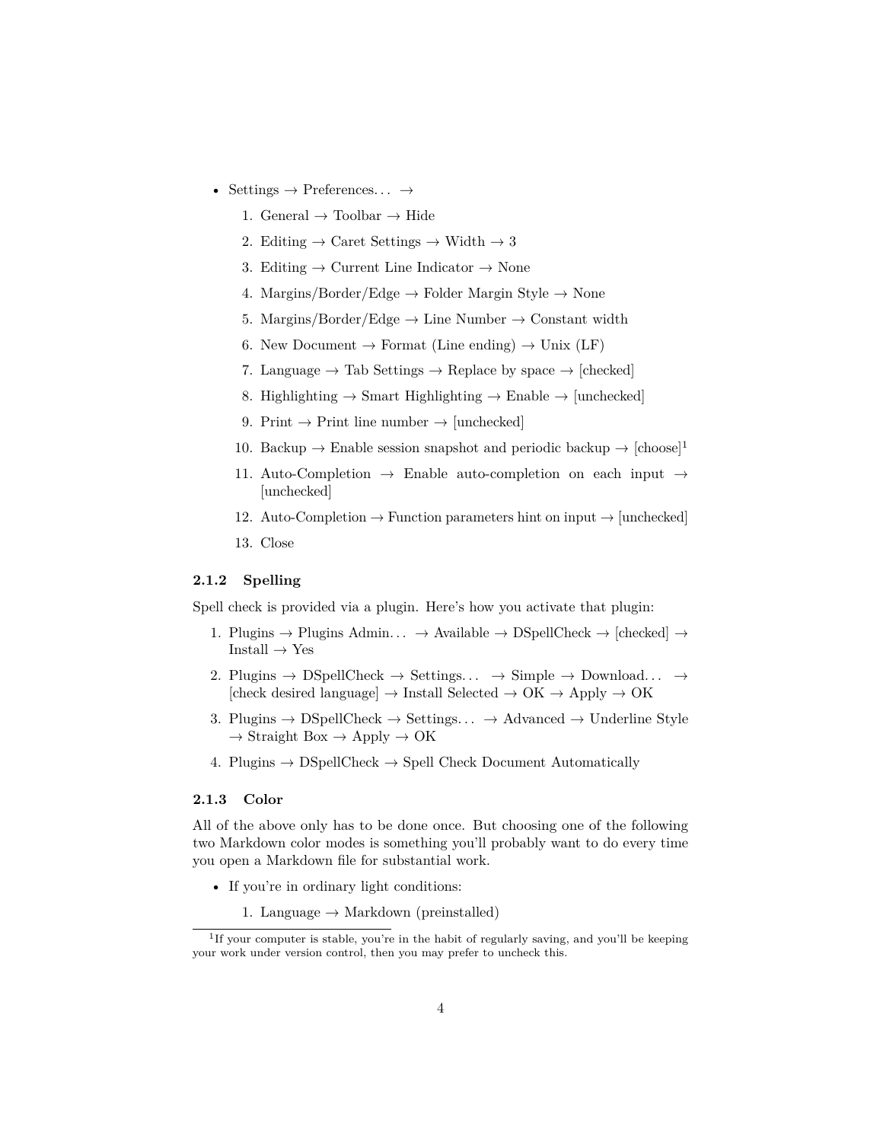- Settings  $\rightarrow$  Preferences...  $\rightarrow$ 
	- 1. General  $\rightarrow$  Toolbar  $\rightarrow$  Hide
	- 2. Editing  $\rightarrow$  Caret Settings  $\rightarrow$  Width  $\rightarrow$  3
	- 3. Editing  $\rightarrow$  Current Line Indicator  $\rightarrow$  None
	- 4. Margins/Border/Edge  $\rightarrow$  Folder Margin Style  $\rightarrow$  None
	- 5. Margins/Border/Edge  $\rightarrow$  Line Number  $\rightarrow$  Constant width
	- 6. New Document  $\rightarrow$  Format (Line ending)  $\rightarrow$  Unix (LF)
	- 7. Language  $\rightarrow$  Tab Settings  $\rightarrow$  Replace by space  $\rightarrow$  [checked]
	- 8. Highlighting  $\rightarrow$  Smart Highlighting  $\rightarrow$  Enable  $\rightarrow$  [unchecked]
	- 9. Print  $\rightarrow$  Print line number  $\rightarrow$  [unchecked]
	- [1](#page-3-2)0. Backup  $\rightarrow$  Enable session snapshot and periodic backup  $\rightarrow$  [choose]<sup>1</sup>
	- 11. Auto-Completion  $\rightarrow$  Enable auto-completion on each input  $\rightarrow$ [unchecked]
	- 12. Auto-Completion  $\rightarrow$  Function parameters hint on input  $\rightarrow$  [unchecked]
	- 13. Close

#### <span id="page-3-0"></span>**2.1.2 Spelling**

Spell check is provided via a plugin. Here's how you activate that plugin:

- 1. Plugins  $\rightarrow$  Plugins Admin...  $\rightarrow$  Available  $\rightarrow$  DSpellCheck  $\rightarrow$  [checked]  $\rightarrow$ Install  $\rightarrow$  Yes
- 2. Plugins  $\rightarrow$  DSpellCheck  $\rightarrow$  Settings...  $\rightarrow$  Simple  $\rightarrow$  Download...  $\rightarrow$ [check desired language]  $\rightarrow$  Install Selected  $\rightarrow$  OK  $\rightarrow$  Apply  $\rightarrow$  OK
- 3. Plugins  $\rightarrow$  DSpellCheck  $\rightarrow$  Settings...  $\rightarrow$  Advanced  $\rightarrow$  Underline Style  $\rightarrow$  Straight Box  $\rightarrow$  Apply  $\rightarrow$  OK
- 4. Plugins  $\rightarrow$  DSpellCheck  $\rightarrow$  Spell Check Document Automatically

#### <span id="page-3-1"></span>**2.1.3 Color**

All of the above only has to be done once. But choosing one of the following two Markdown color modes is something you'll probably want to do every time you open a Markdown file for substantial work.

- If you're in ordinary light conditions:
	- 1. Language  $\rightarrow$  Markdown (preinstalled)

<span id="page-3-2"></span><sup>&</sup>lt;sup>1</sup>If your computer is stable, you're in the habit of regularly saving, and you'll be keeping your work under version control, then you may prefer to uncheck this.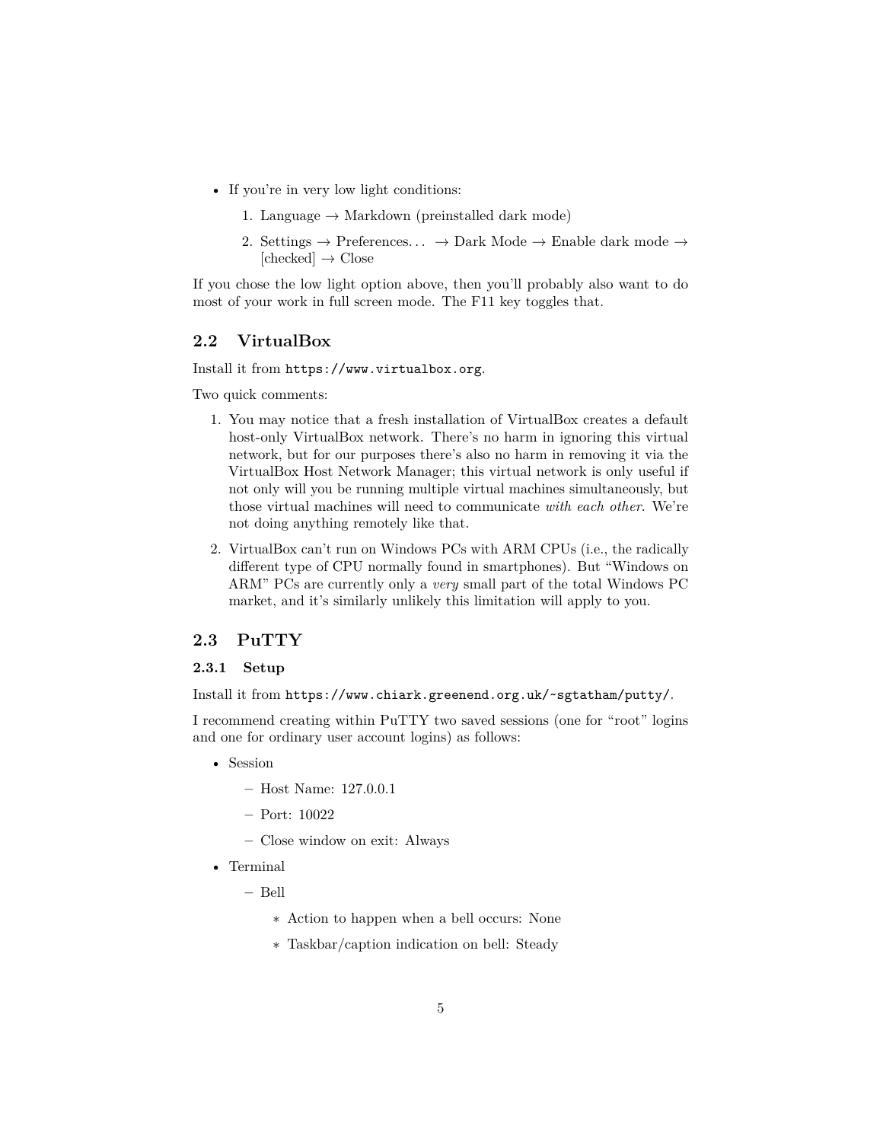- If you're in very low light conditions:
	- 1. Language  $\rightarrow$  Markdown (preinstalled dark mode)
	- 2. Settings  $\rightarrow$  Preferences...  $\rightarrow$  Dark Mode  $\rightarrow$  Enable dark mode  $\rightarrow$  $[checked] \rightarrow Close$

If you chose the low light option above, then you'll probably also want to do most of your work in full screen mode. The F11 key toggles that.

#### <span id="page-4-0"></span>**2.2 VirtualBox**

Install it from <https://www.virtualbox.org>.

Two quick comments:

- 1. You may notice that a fresh installation of VirtualBox creates a default host-only VirtualBox network. There's no harm in ignoring this virtual network, but for our purposes there's also no harm in removing it via the VirtualBox Host Network Manager; this virtual network is only useful if not only will you be running multiple virtual machines simultaneously, but those virtual machines will need to communicate *with each other*. We're not doing anything remotely like that.
- 2. VirtualBox can't run on Windows PCs with ARM CPUs (i.e., the radically different type of CPU normally found in smartphones). But "Windows on ARM" PCs are currently only a *very* small part of the total Windows PC market, and it's similarly unlikely this limitation will apply to you.

#### <span id="page-4-2"></span><span id="page-4-1"></span>**2.3 PuTTY**

#### **2.3.1 Setup**

Install it from <https://www.chiark.greenend.org.uk/~sgtatham/putty/>.

I recommend creating within PuTTY two saved sessions (one for "root" logins and one for ordinary user account logins) as follows:

- Session
	- **–** Host Name: 127.0.0.1
	- **–** Port: 10022
	- **–** Close window on exit: Always
- Terminal
	- **–** Bell
		- ∗ Action to happen when a bell occurs: None
		- ∗ Taskbar/caption indication on bell: Steady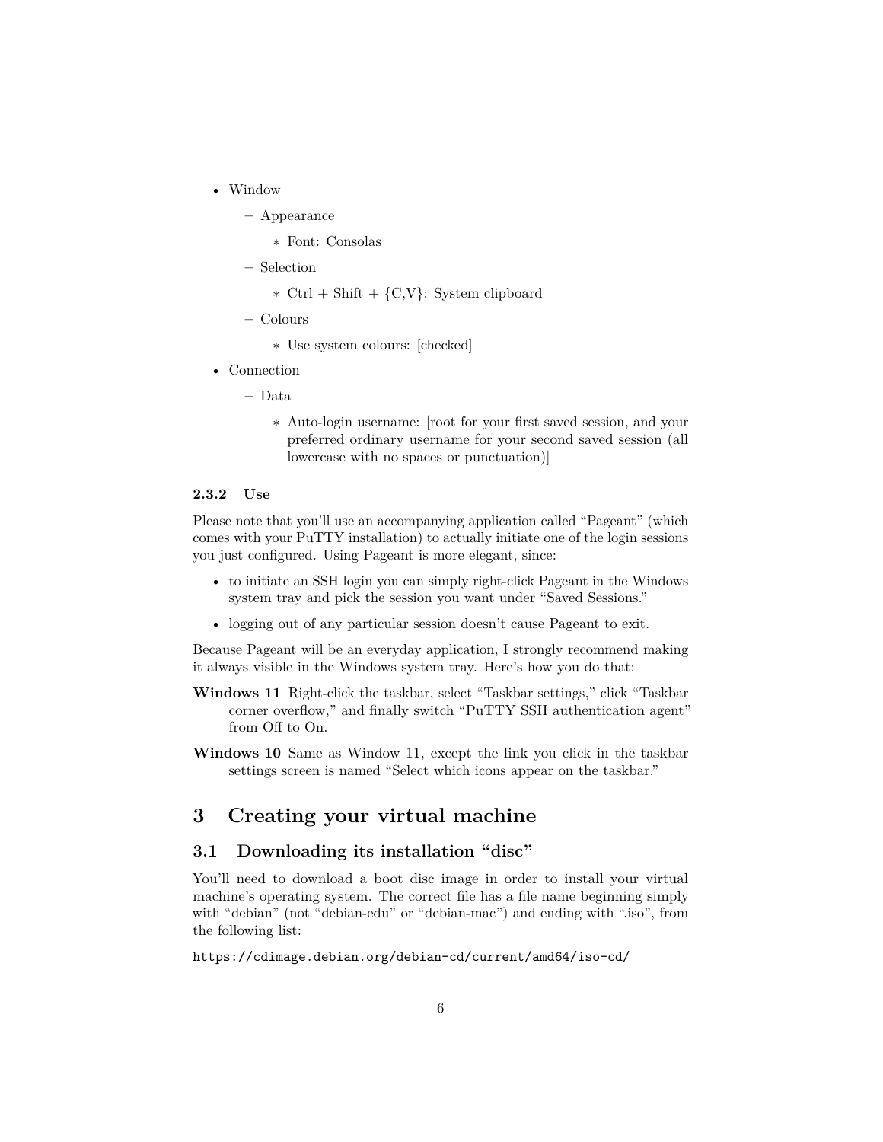• Window

**–** Appearance

- ∗ Font: Consolas
- **–** Selection

∗ Ctrl + Shift + {C,V}: System clipboard

**–** Colours

∗ Use system colours: [checked]

• Connection

**–** Data

∗ Auto-login username: [root for your first saved session, and your preferred ordinary username for your second saved session (all lowercase with no spaces or punctuation)]

#### <span id="page-5-0"></span>**2.3.2 Use**

Please note that you'll use an accompanying application called "Pageant" (which comes with your PuTTY installation) to actually initiate one of the login sessions you just configured. Using Pageant is more elegant, since:

- to initiate an SSH login you can simply right-click Pageant in the Windows system tray and pick the session you want under "Saved Sessions."
- logging out of any particular session doesn't cause Pageant to exit.

Because Pageant will be an everyday application, I strongly recommend making it always visible in the Windows system tray. Here's how you do that:

- **Windows 11** Right-click the taskbar, select "Taskbar settings," click "Taskbar corner overflow," and finally switch "PuTTY SSH authentication agent" from Off to On.
- **Windows 10** Same as Window 11, except the link you click in the taskbar settings screen is named "Select which icons appear on the taskbar."

## <span id="page-5-1"></span>**3 Creating your virtual machine**

#### <span id="page-5-2"></span>**3.1 Downloading its installation "disc"**

You'll need to download a boot disc image in order to install your virtual machine's operating system. The correct file has a file name beginning simply with "debian" (not "debian-edu" or "debian-mac") and ending with ".iso", from the following list:

<https://cdimage.debian.org/debian-cd/current/amd64/iso-cd/>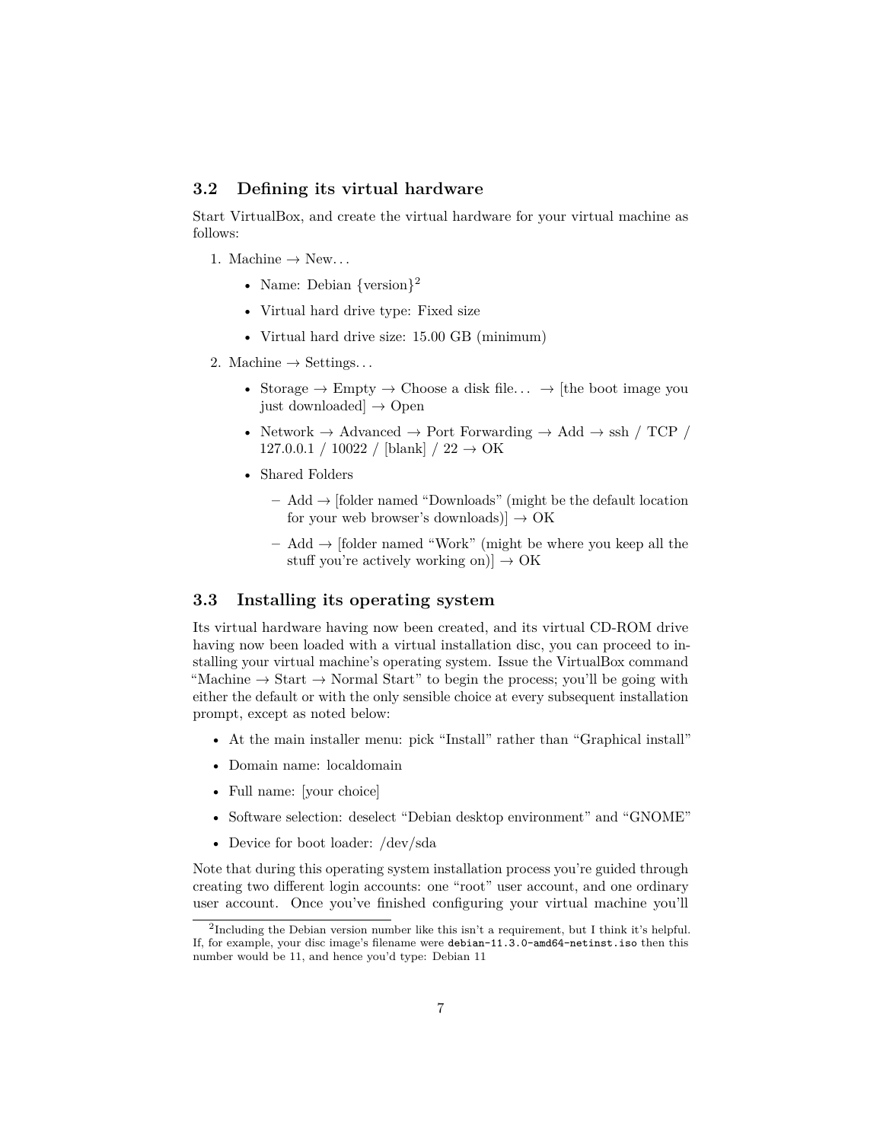#### <span id="page-6-0"></span>**3.2 Defining its virtual hardware**

Start VirtualBox, and create the virtual hardware for your virtual machine as follows:

- 1. Machine  $\rightarrow$  New...
	- Name: Debian  $\{version\}^2$  $\{version\}^2$
	- Virtual hard drive type: Fixed size
	- Virtual hard drive size: 15.00 GB (minimum)
- 2. Machine  $\rightarrow$  Settings...
	- Storage  $\rightarrow$  Empty  $\rightarrow$  Choose a disk file...  $\rightarrow$  [the boot image you just downloaded $\rightarrow$  Open
	- Network  $\rightarrow$  Advanced  $\rightarrow$  Port Forwarding  $\rightarrow$  Add  $\rightarrow$  ssh / TCP /  $127.0.0.1 / 10022 / [blank] / 22 \rightarrow OK$
	- Shared Folders
		- **–** Add → [folder named "Downloads" (might be the default location for your web browser's downloads) $] \rightarrow OK$
		- **–** Add → [folder named "Work" (might be where you keep all the stuff you're actively working on)]  $\rightarrow$  OK

#### <span id="page-6-1"></span>**3.3 Installing its operating system**

Its virtual hardware having now been created, and its virtual CD-ROM drive having now been loaded with a virtual installation disc, you can proceed to installing your virtual machine's operating system. Issue the VirtualBox command "Machine  $\rightarrow$  Start  $\rightarrow$  Normal Start" to begin the process; you'll be going with either the default or with the only sensible choice at every subsequent installation prompt, except as noted below:

- At the main installer menu: pick "Install" rather than "Graphical install"
- Domain name: localdomain
- Full name: [your choice]
- Software selection: deselect "Debian desktop environment" and "GNOME"
- Device for boot loader: /dev/sda

Note that during this operating system installation process you're guided through creating two different login accounts: one "root" user account, and one ordinary user account. Once you've finished configuring your virtual machine you'll

<span id="page-6-2"></span><sup>2</sup> Including the Debian version number like this isn't a requirement, but I think it's helpful. If, for example, your disc image's filename were debian-11.3.0-amd64-netinst.iso then this number would be 11, and hence you'd type: Debian 11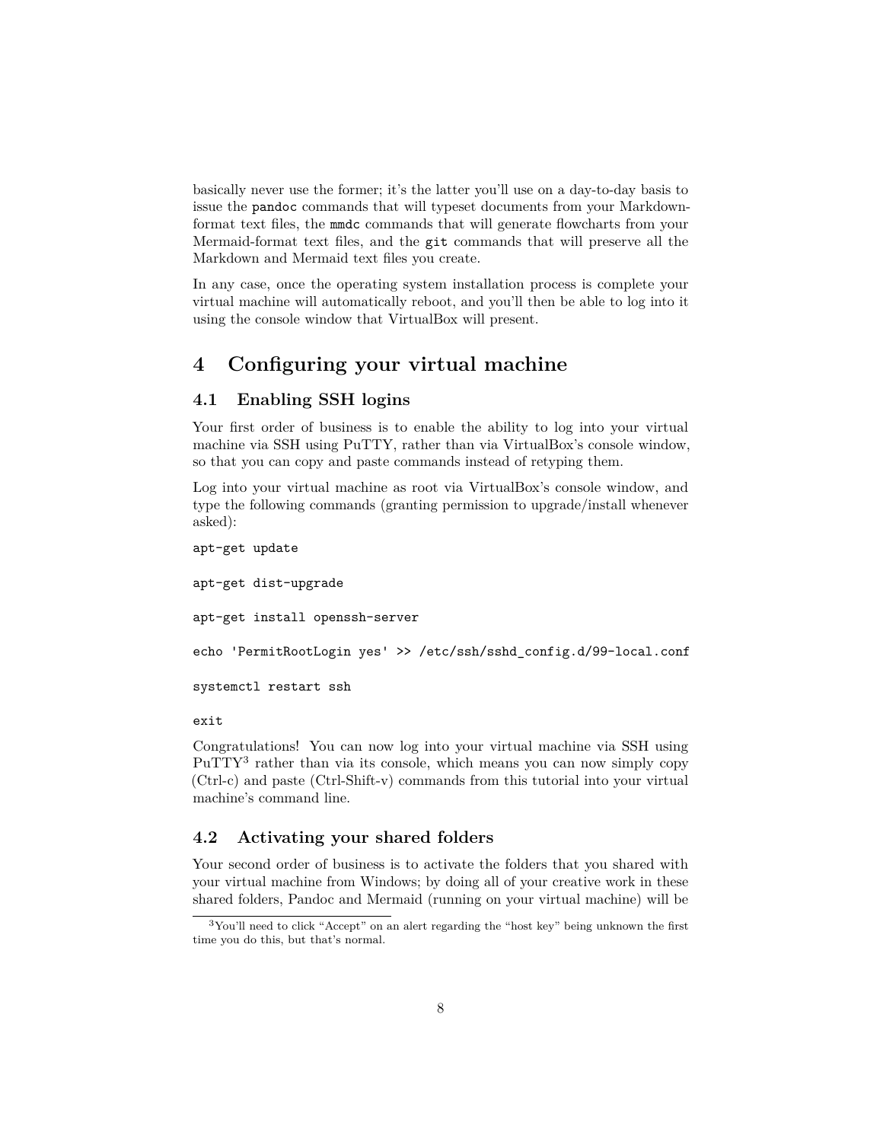basically never use the former; it's the latter you'll use on a day-to-day basis to issue the pandoc commands that will typeset documents from your Markdownformat text files, the mmdc commands that will generate flowcharts from your Mermaid-format text files, and the git commands that will preserve all the Markdown and Mermaid text files you create.

In any case, once the operating system installation process is complete your virtual machine will automatically reboot, and you'll then be able to log into it using the console window that VirtualBox will present.

## <span id="page-7-0"></span>**4 Configuring your virtual machine**

#### <span id="page-7-1"></span>**4.1 Enabling SSH logins**

Your first order of business is to enable the ability to log into your virtual machine via SSH using PuTTY, rather than via VirtualBox's console window, so that you can copy and paste commands instead of retyping them.

Log into your virtual machine as root via VirtualBox's console window, and type the following commands (granting permission to upgrade/install whenever asked):

```
apt-get update
apt-get dist-upgrade
apt-get install openssh-server
echo 'PermitRootLogin yes' >> /etc/ssh/sshd_config.d/99-local.conf
systemctl restart ssh
```
exit

Congratulations! You can now log into your virtual machine via SSH using PuTTY<sup>[3](#page-7-3)</sup> rather than via its console, which means you can now simply copy (Ctrl-c) and paste (Ctrl-Shift-v) commands from this tutorial into your virtual machine's command line.

#### <span id="page-7-2"></span>**4.2 Activating your shared folders**

Your second order of business is to activate the folders that you shared with your virtual machine from Windows; by doing all of your creative work in these shared folders, Pandoc and Mermaid (running on your virtual machine) will be

<span id="page-7-3"></span><sup>3</sup>You'll need to click "Accept" on an alert regarding the "host key" being unknown the first time you do this, but that's normal.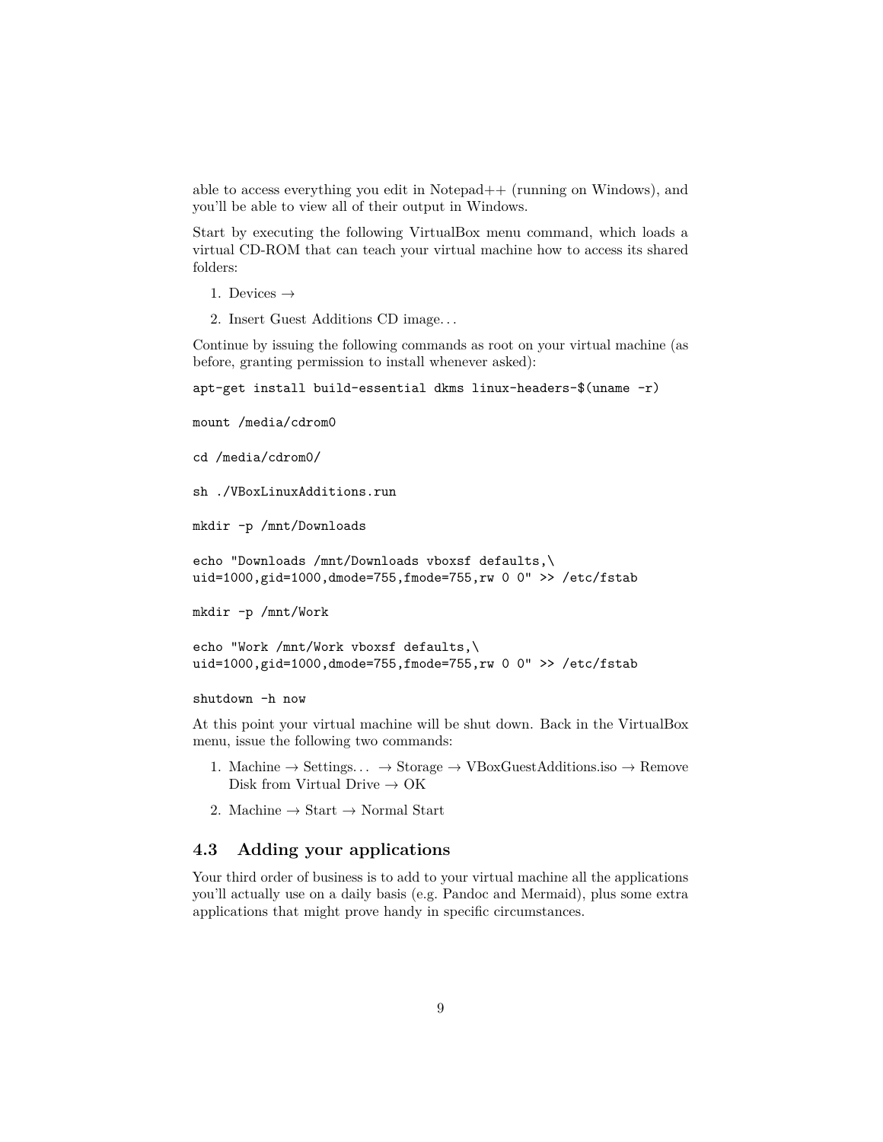able to access everything you edit in Notepad++ (running on Windows), and you'll be able to view all of their output in Windows.

Start by executing the following VirtualBox menu command, which loads a virtual CD-ROM that can teach your virtual machine how to access its shared folders:

1. Devices  $\rightarrow$ 

2. Insert Guest Additions CD image. . .

Continue by issuing the following commands as root on your virtual machine (as before, granting permission to install whenever asked):

```
apt-get install build-essential dkms linux-headers-$(uname -r)
```
mount /media/cdrom0

```
cd /media/cdrom0/
```
sh ./VBoxLinuxAdditions.run

mkdir -p /mnt/Downloads

```
echo "Downloads /mnt/Downloads vboxsf defaults,\
uid=1000,gid=1000,dmode=755,fmode=755,rw 0 0" >> /etc/fstab
```
mkdir -p /mnt/Work

```
echo "Work /mnt/Work vboxsf defaults,\
uid=1000,gid=1000,dmode=755,fmode=755,rw 0 0" >> /etc/fstab
```
shutdown -h now

At this point your virtual machine will be shut down. Back in the VirtualBox menu, issue the following two commands:

- 1. Machine  $\rightarrow$  Settings...  $\rightarrow$  Storage  $\rightarrow$  VBoxGuestAdditions.iso  $\rightarrow$  Remove Disk from Virtual Drive  $\rightarrow$  OK
- 2. Machine  $\rightarrow$  Start  $\rightarrow$  Normal Start

#### <span id="page-8-0"></span>**4.3 Adding your applications**

Your third order of business is to add to your virtual machine all the applications you'll actually use on a daily basis (e.g. Pandoc and Mermaid), plus some extra applications that might prove handy in specific circumstances.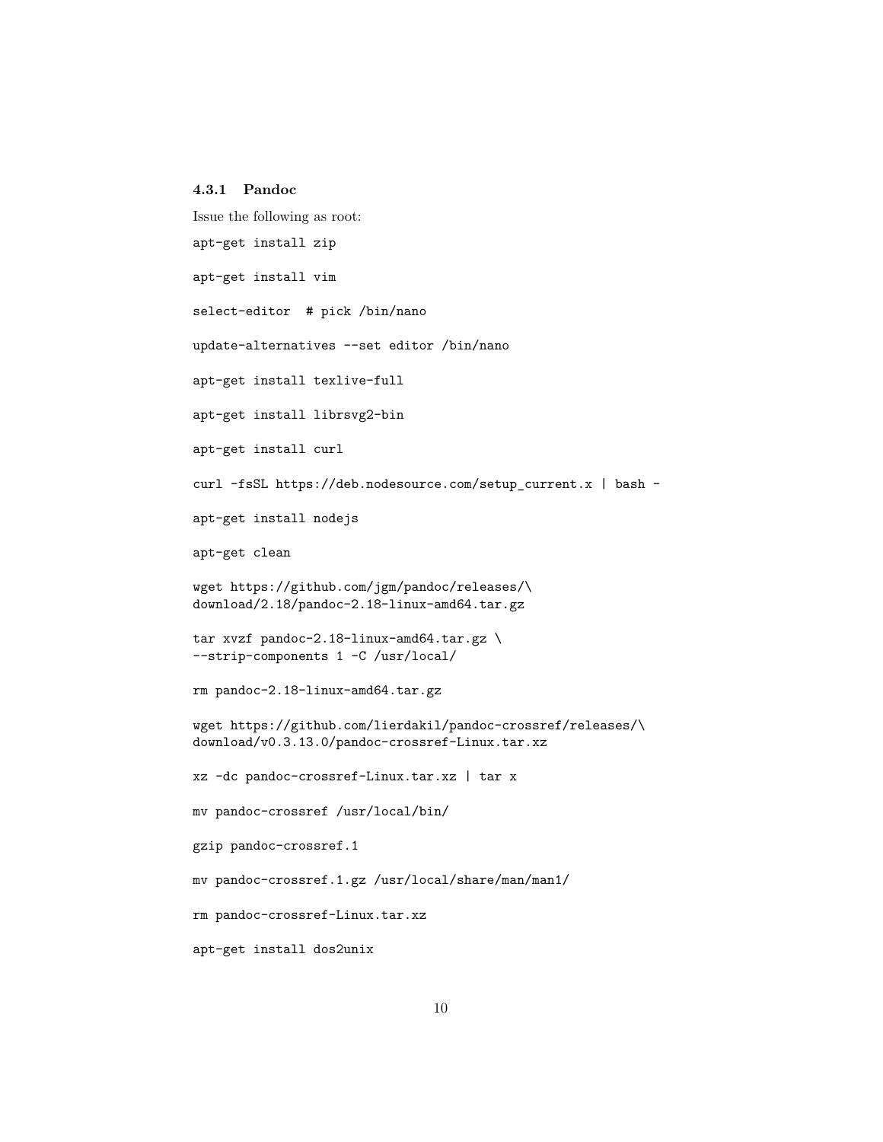```
4.3.1 Pandoc
```
Issue the following as root:

apt-get install zip

apt-get install vim

select-editor # pick /bin/nano

update-alternatives --set editor /bin/nano

apt-get install texlive-full

apt-get install librsvg2-bin

apt-get install curl

curl -fsSL https://deb.nodesource.com/setup\_current.x | bash -

apt-get install nodejs

apt-get clean

wget https://github.com/jgm/pandoc/releases/\ download/2.18/pandoc-2.18-linux-amd64.tar.gz

```
tar xvzf pandoc-2.18-linux-amd64.tar.gz \
--strip-components 1 -C /usr/local/
```
rm pandoc-2.18-linux-amd64.tar.gz

wget https://github.com/lierdakil/pandoc-crossref/releases/\ download/v0.3.13.0/pandoc-crossref-Linux.tar.xz

xz -dc pandoc-crossref-Linux.tar.xz | tar x

mv pandoc-crossref /usr/local/bin/

gzip pandoc-crossref.1

mv pandoc-crossref.1.gz /usr/local/share/man/man1/

rm pandoc-crossref-Linux.tar.xz

apt-get install dos2unix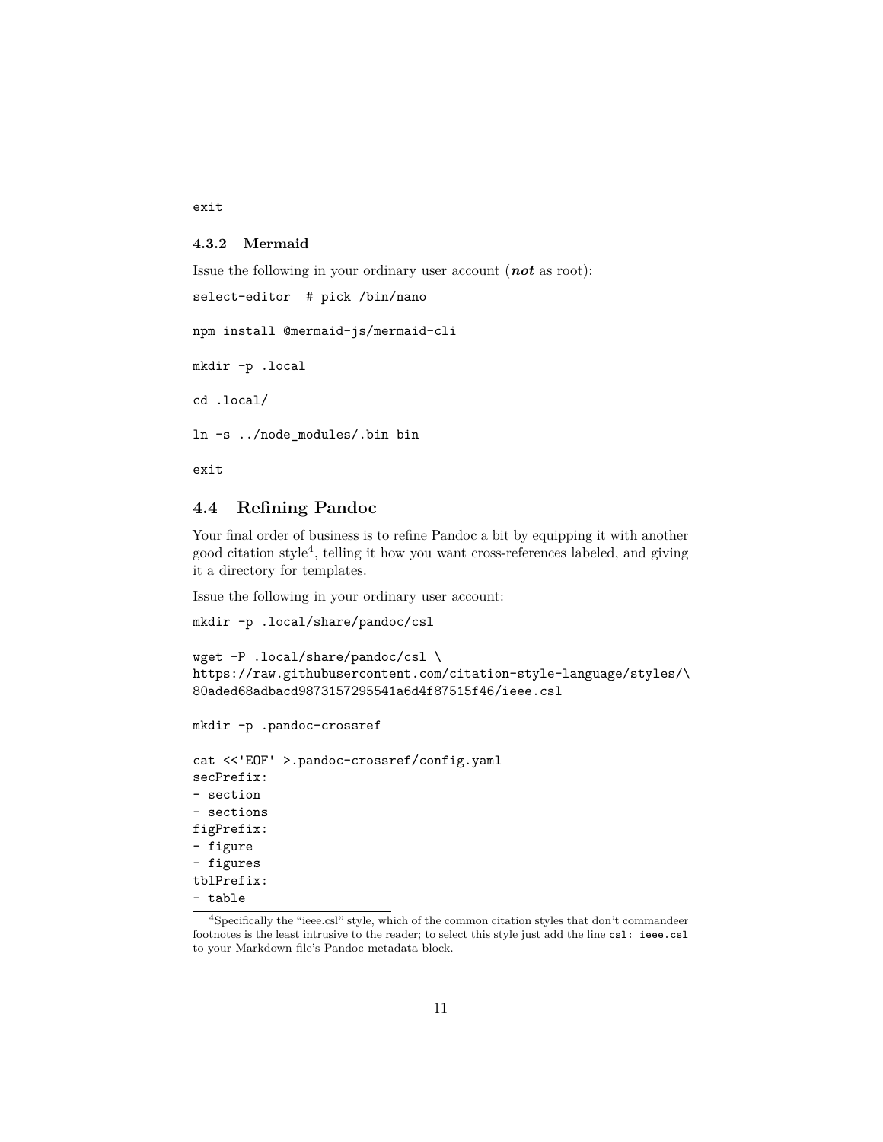exit

#### <span id="page-10-0"></span>**4.3.2 Mermaid**

```
Issue the following in your ordinary user account (not as root):
select-editor # pick /bin/nano
npm install @mermaid-js/mermaid-cli
mkdir -p .local
cd .local/
ln -s ../node_modules/.bin bin
```
exit

#### <span id="page-10-1"></span>**4.4 Refining Pandoc**

Your final order of business is to refine Pandoc a bit by equipping it with another good citation style[4](#page-10-2) , telling it how you want cross-references labeled, and giving it a directory for templates.

Issue the following in your ordinary user account:

```
mkdir -p .local/share/pandoc/csl
```

```
wget -P .local/share/pandoc/csl \
https://raw.githubusercontent.com/citation-style-language/styles/\
80aded68adbacd9873157295541a6d4f87515f46/ieee.csl
```

```
mkdir -p .pandoc-crossref
```

```
cat <<'EOF' >.pandoc-crossref/config.yaml
secPrefix:
- section
- sections
figPrefix:
- figure
- figures
tblPrefix:
- table
```
<span id="page-10-2"></span><sup>4</sup>Specifically the "ieee.csl" style, which of the common citation styles that don't commandeer footnotes is the least intrusive to the reader; to select this style just add the line csl: ieee.csl to your Markdown file's Pandoc metadata block.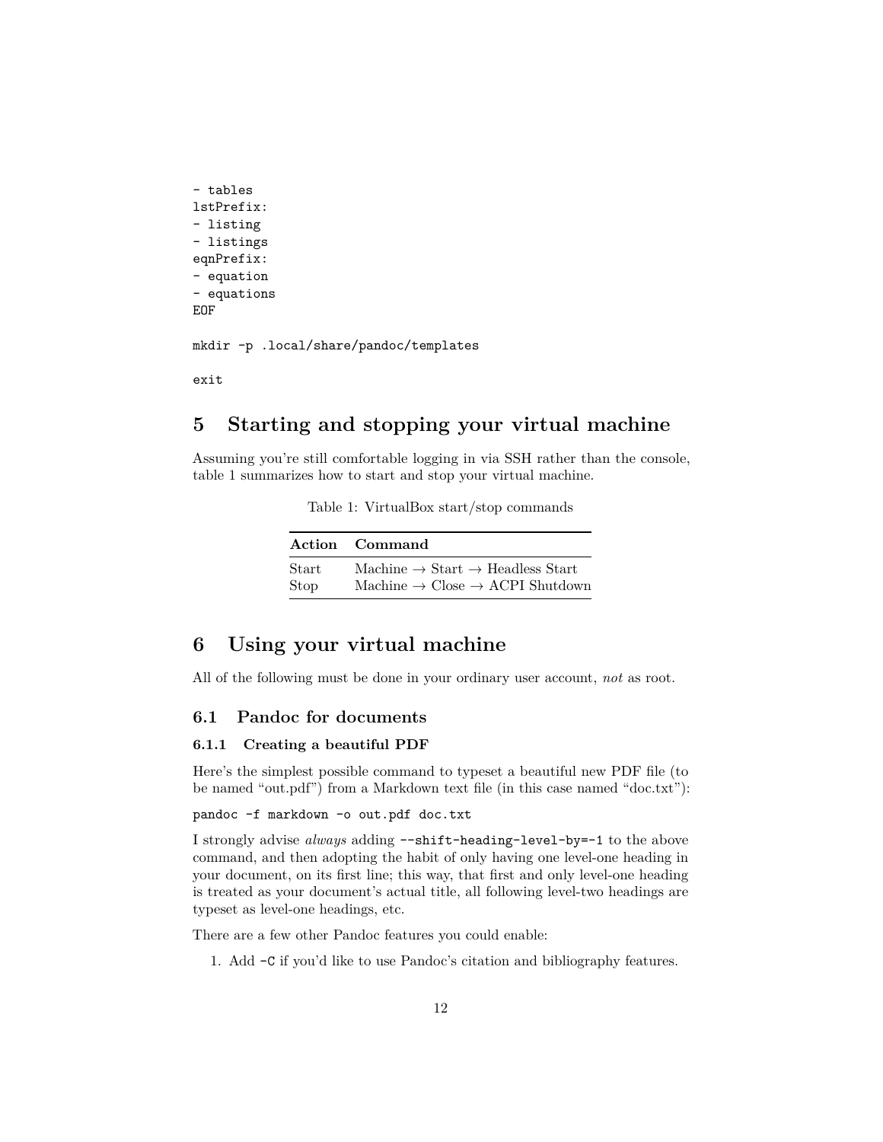```
- tables
lstPrefix:
- listing
- listings
eqnPrefix:
- equation
- equations
EOF
```
mkdir -p .local/share/pandoc/templates

exit

## <span id="page-11-0"></span>**5 Starting and stopping your virtual machine**

<span id="page-11-4"></span>Assuming you're still comfortable logging in via SSH rather than the console, table [1](#page-11-4) summarizes how to start and stop your virtual machine.

Table 1: VirtualBox start/stop commands

|       | Action Command                                           |
|-------|----------------------------------------------------------|
| Start | Machine $\rightarrow$ Start $\rightarrow$ Headless Start |
| Stop  | Machine $\rightarrow$ Close $\rightarrow$ ACPI Shutdown  |

## <span id="page-11-1"></span>**6 Using your virtual machine**

All of the following must be done in your ordinary user account, *not* as root.

#### <span id="page-11-3"></span><span id="page-11-2"></span>**6.1 Pandoc for documents**

#### **6.1.1 Creating a beautiful PDF**

Here's the simplest possible command to typeset a beautiful new PDF file (to be named "out.pdf") from a Markdown text file (in this case named "doc.txt"):

#### pandoc -f markdown -o out.pdf doc.txt

I strongly advise *always* adding --shift-heading-level-by=-1 to the above command, and then adopting the habit of only having one level-one heading in your document, on its first line; this way, that first and only level-one heading is treated as your document's actual title, all following level-two headings are typeset as level-one headings, etc.

There are a few other Pandoc features you could enable:

1. Add -C if you'd like to use Pandoc's citation and bibliography features.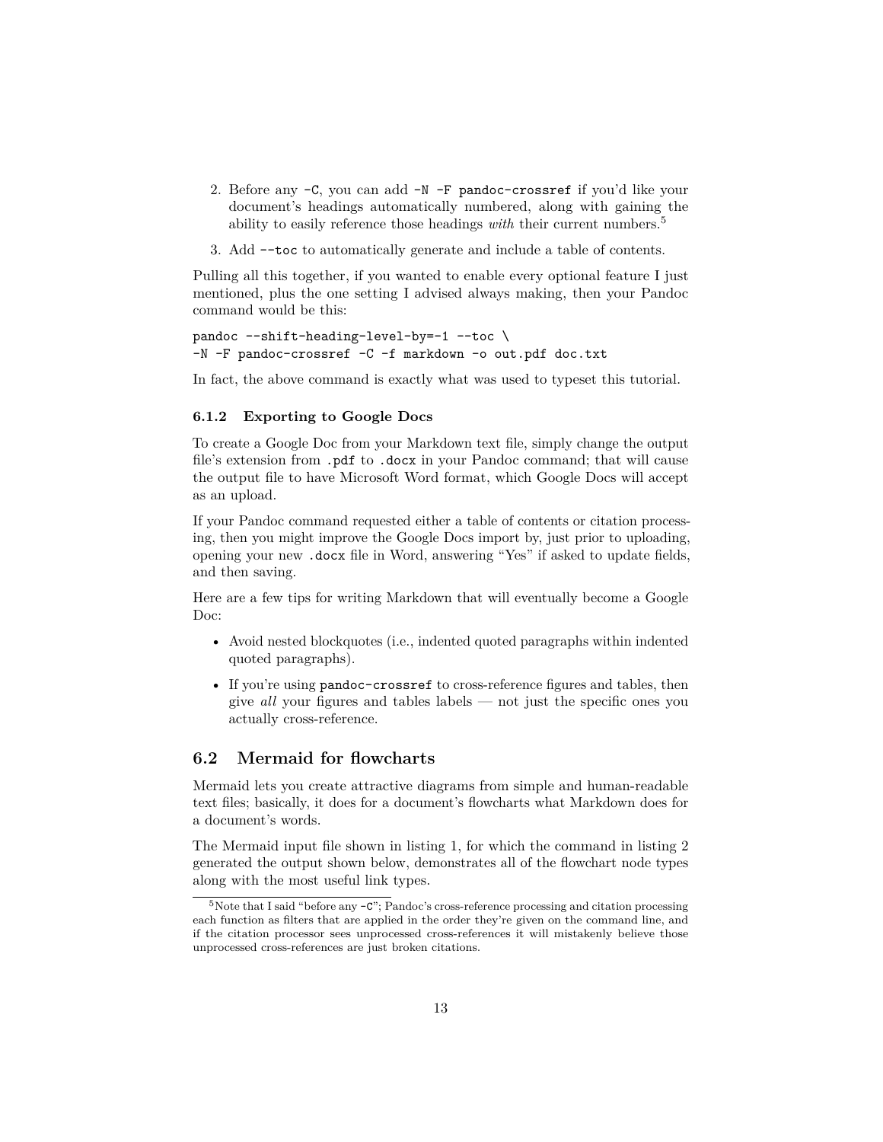- 2. Before any -C, you can add -N -F pandoc-crossref if you'd like your document's headings automatically numbered, along with gaining the ability to easily reference those headings *with* their current numbers.<sup>[5](#page-12-2)</sup>
- 3. Add --toc to automatically generate and include a table of contents.

Pulling all this together, if you wanted to enable every optional feature I just mentioned, plus the one setting I advised always making, then your Pandoc command would be this:

```
pandoc --shift-heading-level-by=-1 --toc \
-N -F pandoc-crossref -C -f markdown -o out.pdf doc.txt
```
In fact, the above command is exactly what was used to typeset this tutorial.

#### <span id="page-12-0"></span>**6.1.2 Exporting to Google Docs**

To create a Google Doc from your Markdown text file, simply change the output file's extension from .pdf to .docx in your Pandoc command; that will cause the output file to have Microsoft Word format, which Google Docs will accept as an upload.

If your Pandoc command requested either a table of contents or citation processing, then you might improve the Google Docs import by, just prior to uploading, opening your new .docx file in Word, answering "Yes" if asked to update fields, and then saving.

Here are a few tips for writing Markdown that will eventually become a Google Doc:

- Avoid nested blockquotes (i.e., indented quoted paragraphs within indented quoted paragraphs).
- If you're using pandoc-crossref to cross-reference figures and tables, then give *all* your figures and tables labels — not just the specific ones you actually cross-reference.

#### <span id="page-12-1"></span>**6.2 Mermaid for flowcharts**

Mermaid lets you create attractive diagrams from simple and human-readable text files; basically, it does for a document's flowcharts what Markdown does for a document's words.

The Mermaid input file shown in listing [1,](#page-13-0) for which the command in listing [2](#page-13-1) generated the output shown below, demonstrates all of the flowchart node types along with the most useful link types.

<span id="page-12-2"></span><sup>&</sup>lt;sup>5</sup>Note that I said "before any  $-c$ "; Pandoc's cross-reference processing and citation processing each function as filters that are applied in the order they're given on the command line, and if the citation processor sees unprocessed cross-references it will mistakenly believe those unprocessed cross-references are just broken citations.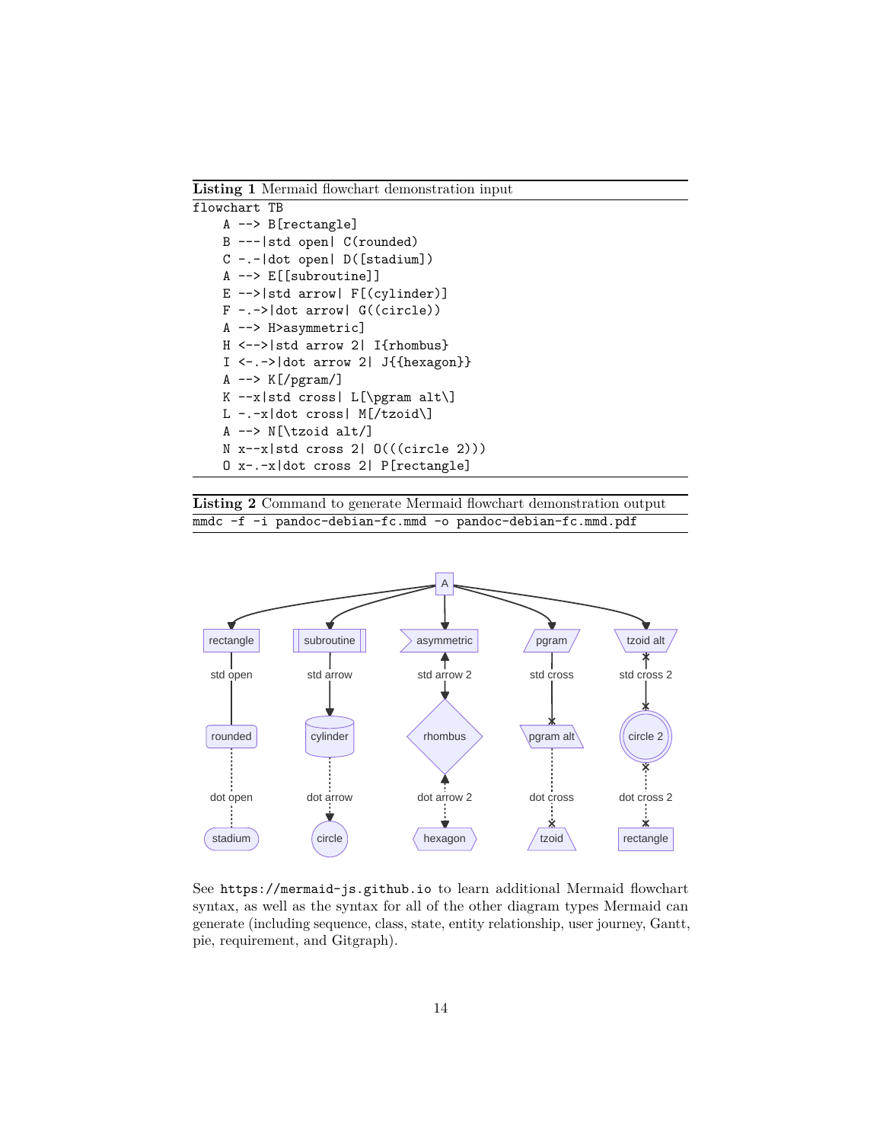<span id="page-13-0"></span>**Listing 1** Mermaid flowchart demonstration input

| flowchart TB |                                                        |
|--------------|--------------------------------------------------------|
|              | $A \leftarrow > B[rectangular]$                        |
|              | B ---   std open   C(rounded)                          |
|              | $C$ -.- $ dot$ open $  D([stadium])$                   |
|              | A --> E[[subroutine]]                                  |
|              | $E \left[ -\right]$ atd arrow $F[(cyline)$             |
|              | $F - -$ > dot arrow   $G((circle))$                    |
|              | A --> H>asymmetric]                                    |
|              | $H \le -\frac{1}{15}$ arrow 2   I{rhombus}             |
|              | $I \leftarrow .\rightarrow$ dot arrow 2   J{{hexagon}} |
|              | A $\leftarrow$ $\geq$ K[/pgram/]                       |
|              | K $-x std cross  L[\pmb{ram} alt]$                     |
|              | L -.- $x$  dot cross  M[/tzoid\]                       |
|              | A $\leftarrow$ N[\tzoid alt/]                          |
|              | $N x - x   std cross 2   0(((circle 2)))$              |
|              | 0 x-.-x dot cross 2  P[rectangle]                      |

<span id="page-13-1"></span>**Listing 2** Command to generate Mermaid flowchart demonstration output mmdc -f -i pandoc-debian-fc.mmd -o pandoc-debian-fc.mmd.pdf



See <https://mermaid-js.github.io> to learn additional Mermaid flowchart syntax, as well as the syntax for all of the other diagram types Mermaid can generate (including sequence, class, state, entity relationship, user journey, Gantt, pie, requirement, and Gitgraph).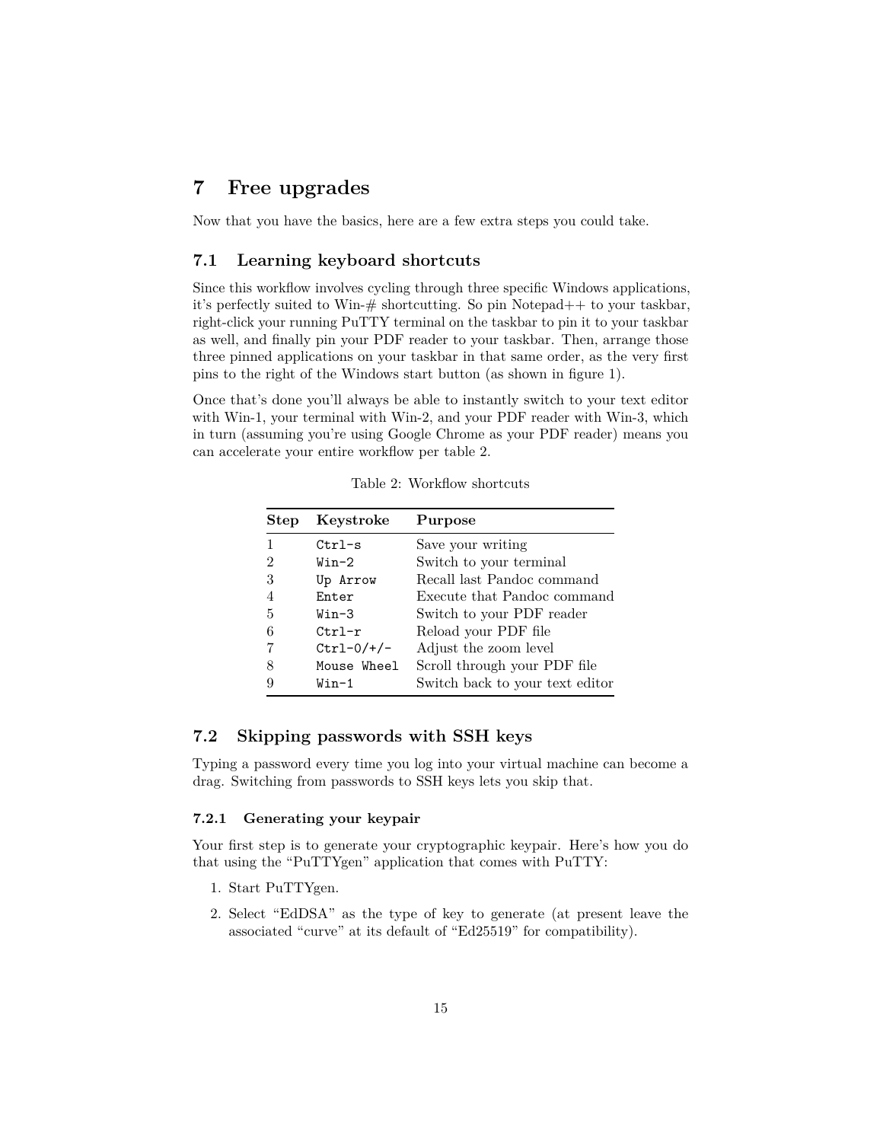## <span id="page-14-0"></span>**7 Free upgrades**

Now that you have the basics, here are a few extra steps you could take.

#### <span id="page-14-1"></span>**7.1 Learning keyboard shortcuts**

Since this workflow involves cycling through three specific Windows applications, it's perfectly suited to Win-# shortcutting. So pin Notepad++ to your taskbar, right-click your running PuTTY terminal on the taskbar to pin it to your taskbar as well, and finally pin your PDF reader to your taskbar. Then, arrange those three pinned applications on your taskbar in that same order, as the very first pins to the right of the Windows start button (as shown in figure [1\)](#page-2-4).

Once that's done you'll always be able to instantly switch to your text editor with Win-1, your terminal with Win-2, and your PDF reader with Win-3, which in turn (assuming you're using Google Chrome as your PDF reader) means you can accelerate your entire workflow per table [2.](#page-14-4)

<span id="page-14-4"></span>

| <b>Step</b> | Keystroke    | Purpose                         |
|-------------|--------------|---------------------------------|
|             | $Ctrl-s$     | Save your writing               |
| 2           | $Win-2$      | Switch to your terminal         |
| 3           | Up Arrow     | Recall last Pandoc command      |
|             | Enter        | Execute that Pandoc command     |
| 5           | Win-3        | Switch to your PDF reader       |
| 6           | $Ctr1-r$     | Reload your PDF file            |
|             | $Ctrl-0/+/-$ | Adjust the zoom level           |
| 8           | Mouse Wheel  | Scroll through your PDF file    |
|             | Win-1        | Switch back to your text editor |

Table 2: Workflow shortcuts

#### <span id="page-14-2"></span>**7.2 Skipping passwords with SSH keys**

Typing a password every time you log into your virtual machine can become a drag. Switching from passwords to SSH keys lets you skip that.

#### <span id="page-14-3"></span>**7.2.1 Generating your keypair**

Your first step is to generate your cryptographic keypair. Here's how you do that using the "PuTTYgen" application that comes with PuTTY:

- 1. Start PuTTYgen.
- 2. Select "EdDSA" as the type of key to generate (at present leave the associated "curve" at its default of "Ed25519" for compatibility).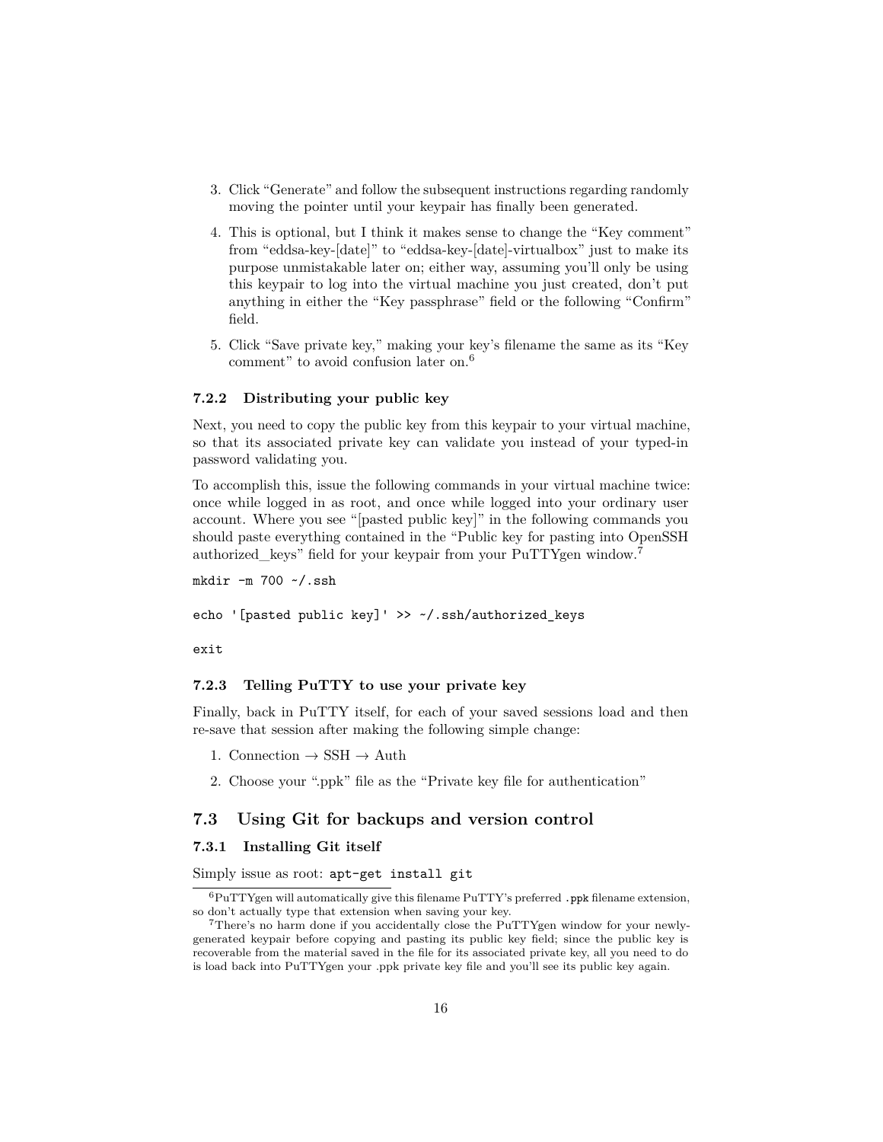- 3. Click "Generate" and follow the subsequent instructions regarding randomly moving the pointer until your keypair has finally been generated.
- 4. This is optional, but I think it makes sense to change the "Key comment" from "eddsa-key-[date]" to "eddsa-key-[date]-virtualbox" just to make its purpose unmistakable later on; either way, assuming you'll only be using this keypair to log into the virtual machine you just created, don't put anything in either the "Key passphrase" field or the following "Confirm" field.
- 5. Click "Save private key," making your key's filename the same as its "Key comment" to avoid confusion later on.[6](#page-15-4)

#### <span id="page-15-0"></span>**7.2.2 Distributing your public key**

Next, you need to copy the public key from this keypair to your virtual machine, so that its associated private key can validate you instead of your typed-in password validating you.

To accomplish this, issue the following commands in your virtual machine twice: once while logged in as root, and once while logged into your ordinary user account. Where you see "[pasted public key]" in the following commands you should paste everything contained in the "Public key for pasting into OpenSSH authorized\_keys" field for your keypair from your PuTTYgen window.[7](#page-15-5)

mkdir -m 700 ~/.ssh

echo '[pasted public key]' >> ~/.ssh/authorized\_keys

exit

#### <span id="page-15-1"></span>**7.2.3 Telling PuTTY to use your private key**

Finally, back in PuTTY itself, for each of your saved sessions load and then re-save that session after making the following simple change:

1. Connection  $\rightarrow$  SSH  $\rightarrow$  Auth

2. Choose your ".ppk" file as the "Private key file for authentication"

#### <span id="page-15-2"></span>**7.3 Using Git for backups and version control**

#### <span id="page-15-3"></span>**7.3.1 Installing Git itself**

Simply issue as root: apt-get install git

<span id="page-15-4"></span> ${}^{6}$ PuTTYgen will automatically give this filename PuTTY's preferred .ppk filename extension, so don't actually type that extension when saving your key.

<span id="page-15-5"></span><sup>7</sup>There's no harm done if you accidentally close the PuTTYgen window for your newlygenerated keypair before copying and pasting its public key field; since the public key is recoverable from the material saved in the file for its associated private key, all you need to do is load back into PuTTYgen your .ppk private key file and you'll see its public key again.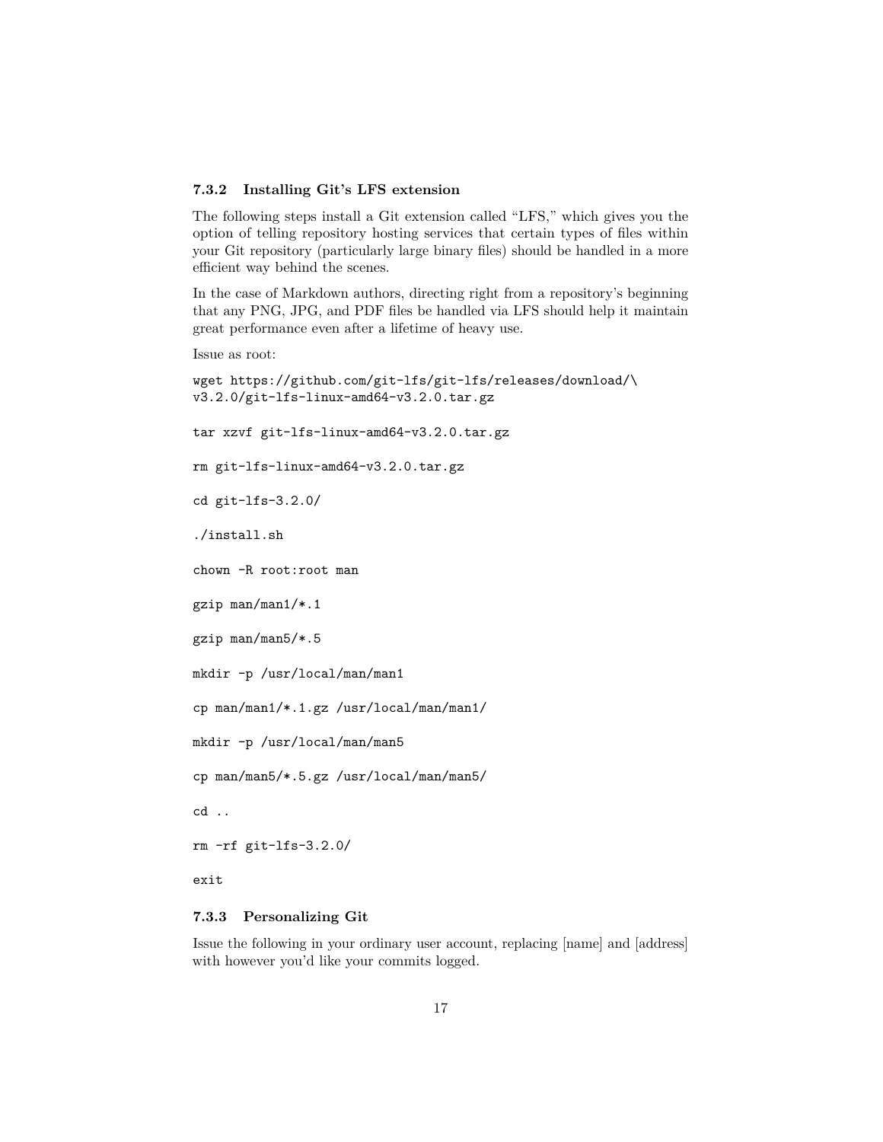#### <span id="page-16-0"></span>**7.3.2 Installing Git's LFS extension**

The following steps install a Git extension called "LFS," which gives you the option of telling repository hosting services that certain types of files within your Git repository (particularly large binary files) should be handled in a more efficient way behind the scenes.

In the case of Markdown authors, directing right from a repository's beginning that any PNG, JPG, and PDF files be handled via LFS should help it maintain great performance even after a lifetime of heavy use.

```
Issue as root:
```
wget https://github.com/git-lfs/git-lfs/releases/download/\ v3.2.0/git-lfs-linux-amd64-v3.2.0.tar.gz tar xzvf git-lfs-linux-amd64-v3.2.0.tar.gz rm git-lfs-linux-amd64-v3.2.0.tar.gz cd git-lfs-3.2.0/ ./install.sh chown -R root:root man gzip man/man1/\*.1 gzip man/man5/\*.5 mkdir -p /usr/local/man/man1 cp man/man1/\*.1.gz /usr/local/man/man1/ mkdir -p /usr/local/man/man5 cp man/man5/\*.5.gz /usr/local/man/man5/ cd .. rm -rf git-lfs-3.2.0/

exit

#### <span id="page-16-1"></span>**7.3.3 Personalizing Git**

Issue the following in your ordinary user account, replacing [name] and [address] with however you'd like your commits logged.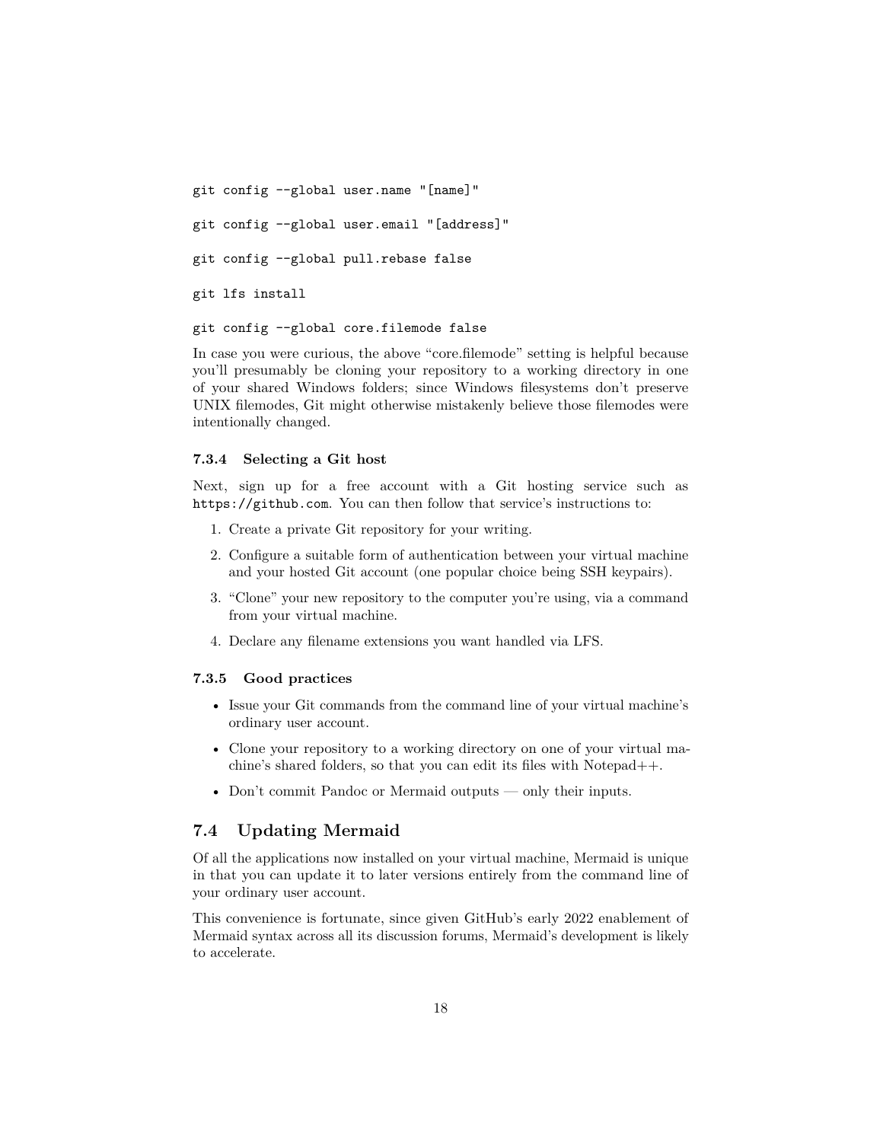git config --global user.name "[name]" git config --global user.email "[address]" git config --global pull.rebase false git lfs install

git config --global core.filemode false

In case you were curious, the above "core.filemode" setting is helpful because you'll presumably be cloning your repository to a working directory in one of your shared Windows folders; since Windows filesystems don't preserve UNIX filemodes, Git might otherwise mistakenly believe those filemodes were intentionally changed.

#### <span id="page-17-0"></span>**7.3.4 Selecting a Git host**

Next, sign up for a free account with a Git hosting service such as <https://github.com>. You can then follow that service's instructions to:

- 1. Create a private Git repository for your writing.
- 2. Configure a suitable form of authentication between your virtual machine and your hosted Git account (one popular choice being SSH keypairs).
- 3. "Clone" your new repository to the computer you're using, via a command from your virtual machine.
- 4. Declare any filename extensions you want handled via LFS.

#### <span id="page-17-1"></span>**7.3.5 Good practices**

- Issue your Git commands from the command line of your virtual machine's ordinary user account.
- Clone your repository to a working directory on one of your virtual machine's shared folders, so that you can edit its files with Notepad++.
- Don't commit Pandoc or Mermaid outputs only their inputs.

#### <span id="page-17-2"></span>**7.4 Updating Mermaid**

Of all the applications now installed on your virtual machine, Mermaid is unique in that you can update it to later versions entirely from the command line of your ordinary user account.

This convenience is fortunate, since given GitHub's early 2022 enablement of Mermaid syntax across all its discussion forums, Mermaid's development is likely to accelerate.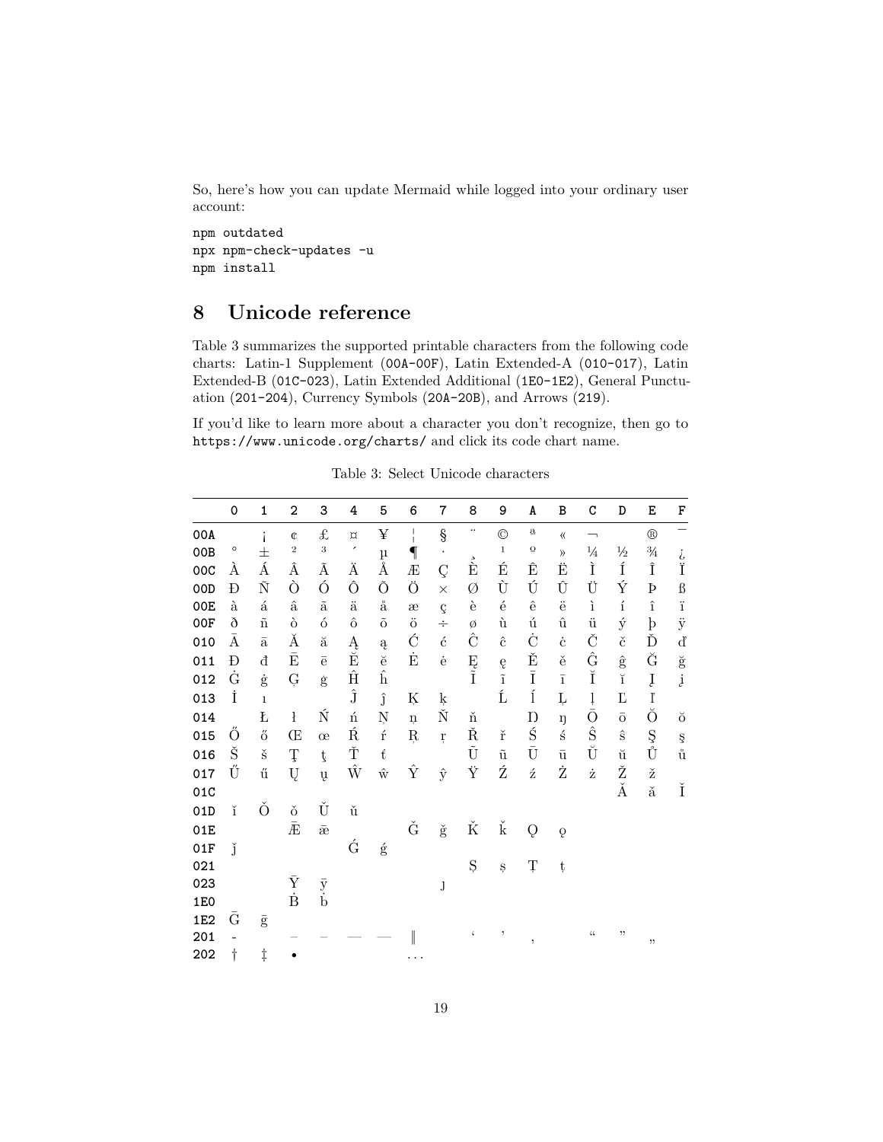So, here's how you can update Mermaid while logged into your ordinary user account:

npm outdated npx npm-check-updates -u npm install

## <span id="page-18-0"></span>**8 Unicode reference**

Table [3](#page-18-1) summarizes the supported printable characters from the following code charts: Latin-1 Supplement (00A-00F), Latin Extended-A (010-017), Latin Extended-B (01C-023), Latin Extended Additional (1E0-1E2), General Punctuation (201-204), Currency Symbols (20A-20B), and Arrows (219).

If you'd like to learn more about a character you don't recognize, then go to <https://www.unicode.org/charts/> and click its code chart name.

<span id="page-18-1"></span>

|     | $\mathbf 0$ | $\mathbf{1}$         | $\overline{2}$         | 3                    | 4                               | 5                       | 6               | $\overline{7}$       | 8                    | 9                    | A                       | B                       | C                        | D                  | E              | F                                       |
|-----|-------------|----------------------|------------------------|----------------------|---------------------------------|-------------------------|-----------------|----------------------|----------------------|----------------------|-------------------------|-------------------------|--------------------------|--------------------|----------------|-----------------------------------------|
| 00A |             | i                    | $\mathbb{C}$           | £                    | $\alpha$                        | ¥                       | I               | $\S$                 | $\ddot{\phantom{0}}$ | $\circledcirc$       | $\mathbf a$             | $\langle\!\langle$      | $\overline{\phantom{0}}$ |                    | $^{\circledR}$ | -                                       |
| 00B | $\circ$     | $\pm$                | $\sqrt{2}$             | $\sqrt{3}$           | $\!\cdot\!$                     | μ                       | $\P$            | $\bullet$            |                      | $\mathbf 1$          | $\Omega$                | $\rangle$               | $\frac{1}{4}$            | $\frac{1}{2}$      | $\frac{3}{4}$  |                                         |
| 00C | À           | Á                    | Â                      | Ã                    | Ä                               | Å                       | Æ               | Ç                    | $\vec{\hat{E}}$      | É                    | Ê                       | Ë                       | Ì                        | Í                  | Î              | ن<br>آ                                  |
| 00D | Ð           | $\tilde{\rm N}$      | Ò                      | Ó                    | Ô                               | Õ                       | Ö               | $\times$             | Ø                    | Ù                    | Ú                       | Û                       | Ü                        | Ý                  | Þ              | $\pmb{\mathcal{B}}$                     |
| 00E | à           | $\land$              | $\hat{\mathbf{a}}$     | $\tilde{\mathrm{a}}$ | ä                               | $\mathring{\mathrm{a}}$ | æ               | $\boldsymbol{\zeta}$ | è                    | $\acute{\text e}$    | $\hat{\mathbf{e}}$      | ë                       | ì                        | $\acute{\text{1}}$ | $\hat{1}$      | $\ddot{i}$                              |
| 00F | ð           | $\tilde{\rm n}$      | ò                      | $\acute{o}$          | $\hat{\text{o}}$                | $\tilde{O}$             | $\ddot{\rm{o}}$ | ÷                    | Ø                    | ù                    | ú                       | $\hat{\mathbf{u}}$      | $\ddot{u}$               | ý                  | $\mathbf{b}$   | $\ddot{y}$                              |
| 010 | $\bar{A}$   | $\bar{\text{a}}$     | Ă                      | ă                    | $\frac{\textrm{A}}{\textrm{E}}$ | $\rm{a}$                | Ć               | $\acute{\rm{c}}$     | Ĉ                    | $\hat{\mathbf{c}}$   | Ċ                       | $\dot{\text{c}}$        | Č                        | $\check{\rm c}$    | Ď              | $\rm d$                                 |
| 011 | Đ           | đ                    | $\bar{\mathrm{E}}$     | $\bar{\mathrm{e}}$   |                                 | $\breve{\mathrm{e}}$    | Ė               | $\dot{\mathbf{e}}$   | Ę<br>Ĩ               | ę                    | Ě                       | ě                       | Ĝ                        | $\hat{\mathbf{g}}$ | Ğ              | $\breve{\mathbf{g}}$                    |
| 012 | Ġ           | $\dot{\mathrm{g}}$   | Ģ                      | $\dot{\mathbf{g}}$   | $\hat{\rm H}$                   | $\hat{\mathbf{h}}$      |                 |                      |                      | $\tilde{\text{i}}$   | $\bar{\rm I}$           | $\overline{\textbf{1}}$ | Ĭ                        | ĭ                  | Į              | $\dot{\mathbf{j}}$                      |
| 013 | İ           | $\mathbf 1$          |                        |                      | $\hat{\bf J}$                   | ĵ                       | Ķ               | $\frac{k}{N}$        |                      | Ĺ                    | $\acute{1}$             | Ļ                       | $\frac{1}{\bar{O}}$      | Ľ                  | $\mathbf{l}$   |                                         |
| 014 |             | Ł                    | $\mathbf i$            | Ń                    | ń                               | Ņ                       | $\mathbf{n}$    |                      | ň                    |                      | Ŋ                       | ŋ                       |                          | $\bar{\text{o}}$   | Ŏ              | ŏ                                       |
| 015 | Ő           | ő                    | Œ                      | œ                    | Ŕ                               | $\acute{\text{r}}$      | Ŗ               | ŗ                    | Ř                    | $\check{\rm r}$      | Ś                       | $\acute{\textrm{s}}$    | Ŝ                        | $\hat{\mathbf{s}}$ | Ş<br>Ů         | $_{\mathring{\mathrm{u}}}^{\mathrm{s}}$ |
| 016 | Š           | $\check{\mathbf{s}}$ | Ţ                      | ţ                    | Ť                               | $\mathfrak{t}$          |                 |                      | Ũ                    | $\tilde{\mathbf{u}}$ | $\bar{\text{U}}$        | $\bar{\mathrm{u}}$      | Ŭ                        | ŭ                  |                |                                         |
| 017 | Ű           | ű                    | Ų                      | ų                    | Ŵ                               | $\hat{\text{w}}$        | Ŷ               | ŷ                    | Ÿ                    | Ź                    | ź                       | Ż                       | ż                        | Ž                  | ž              |                                         |
| 01C |             |                      |                        |                      |                                 |                         |                 |                      |                      |                      |                         |                         |                          | Ă                  | ă              | Ĭ                                       |
| 01D | ĭ           | Ŏ                    | ŏ                      | Ŭ                    | ŭ                               |                         |                 |                      |                      |                      |                         |                         |                          |                    |                |                                         |
| 01E |             |                      | $\bar{\text{E}}$       | $\bar{\mathrm{e}}$   |                                 |                         | Ğ               | $\check{\mathrm{g}}$ | Ř                    | $\check{\mathbf{k}}$ | Q                       | $\overline{Q}$          |                          |                    |                |                                         |
| 01F | Ľ           |                      |                        |                      | Ć                               | $\acute{\text{g}}$      |                 |                      |                      |                      |                         |                         |                          |                    |                |                                         |
| 021 |             |                      |                        |                      |                                 |                         |                 |                      | Ş                    | Ş                    | Ţ                       | ţ                       |                          |                    |                |                                         |
| 023 |             |                      | $\bar{Y}$<br>$\dot{B}$ | $\bar{y}$ b          |                                 |                         |                 | J                    |                      |                      |                         |                         |                          |                    |                |                                         |
| 1E0 |             |                      |                        |                      |                                 |                         |                 |                      |                      |                      |                         |                         |                          |                    |                |                                         |
| 1E2 | Ğ           | $\bar{\mathrm{g}}$   |                        |                      |                                 |                         |                 |                      |                      |                      |                         |                         |                          |                    |                |                                         |
| 201 |             |                      |                        |                      |                                 |                         |                 |                      | $\boldsymbol{\zeta}$ | $\, ,$               | $^\mathrm{^\mathrm{o}}$ |                         | $\zeta\,\zeta$           | $, \,$             | $, ,$          |                                         |
| 202 | t           | $\ddagger$           |                        |                      |                                 |                         |                 |                      |                      |                      |                         |                         |                          |                    |                |                                         |

Table 3: Select Unicode characters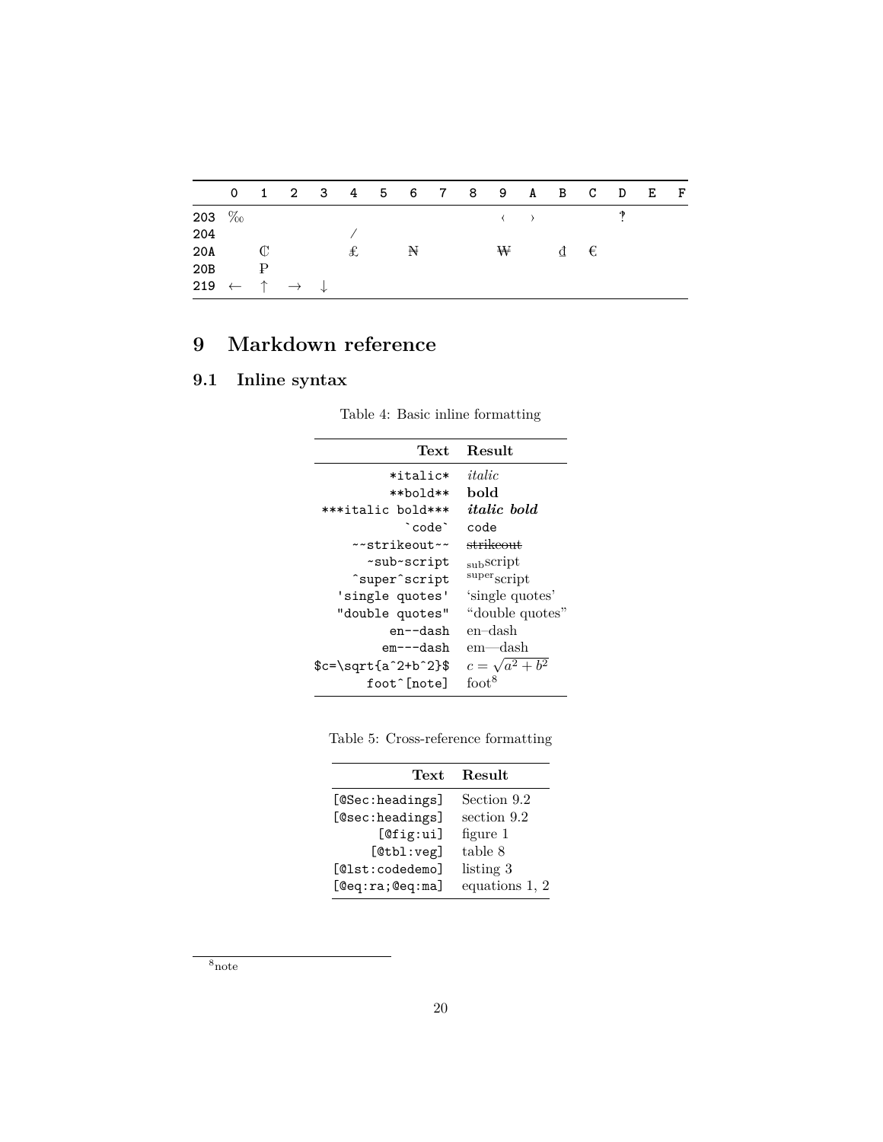|                                                        |              |  |   |   |  | 0 1 2 3 4 5 6 7 8 9 A B C D E |                       |  | F |
|--------------------------------------------------------|--------------|--|---|---|--|-------------------------------|-----------------------|--|---|
| 203 $\%$                                               |              |  |   |   |  |                               | $\longleftrightarrow$ |  |   |
| 204                                                    |              |  |   |   |  |                               |                       |  |   |
| 20A                                                    | C            |  | £ | ₩ |  | ₩                             | đ€                    |  |   |
| 20B                                                    | $\mathbb{P}$ |  |   |   |  |                               |                       |  |   |
| 219 $\leftarrow$ $\uparrow$ $\rightarrow$ $\downarrow$ |              |  |   |   |  |                               |                       |  |   |

## <span id="page-19-0"></span>**9 Markdown reference**

## <span id="page-19-1"></span>**9.1 Inline syntax**

|  |  |  | Table 4: Basic in line formatting |
|--|--|--|-----------------------------------|
|--|--|--|-----------------------------------|

| Text                    | Result                               |
|-------------------------|--------------------------------------|
| $*$ italic $*$          | italic                               |
| $**$ bold $**$          | hold                                 |
| ***italic bold***       | <i>italic</i> bold                   |
| `code`                  | code                                 |
| $\sim$ strikeout $\sim$ | strikeout.                           |
| ~sub~script             | subscript                            |
| ^super^script           | $\frac{\text{super}}{\text{script}}$ |
| 'single quotes'         | 'single quotes'                      |
| "double quotes"         | "double quotes"                      |
| en--dash                | en–dash                              |
| em---dash               | em—dash                              |
| $c = \sqrt{a^2 + b^2}$  | $c=\sqrt{a^2+b^2}$                   |
| foot^[note]             | $\{dot}$                             |
|                         |                                      |

<span id="page-19-3"></span>

|  | Table 5: Cross-reference formatting |  |  |
|--|-------------------------------------|--|--|
|  |                                     |  |  |

| Text            | Result         |
|-----------------|----------------|
| [@Sec:headings] | Section 9.2    |
| [@sec:headings] | section 9.2    |
| [@fig:ui]       | figure 1       |
| [@tb1:veg]      | table 8        |
| [@lst:codedemo] | listing 3      |
| [@eq:ra;@eq:ma] | equations 1, 2 |

<span id="page-19-2"></span> $8_{\text{note}}$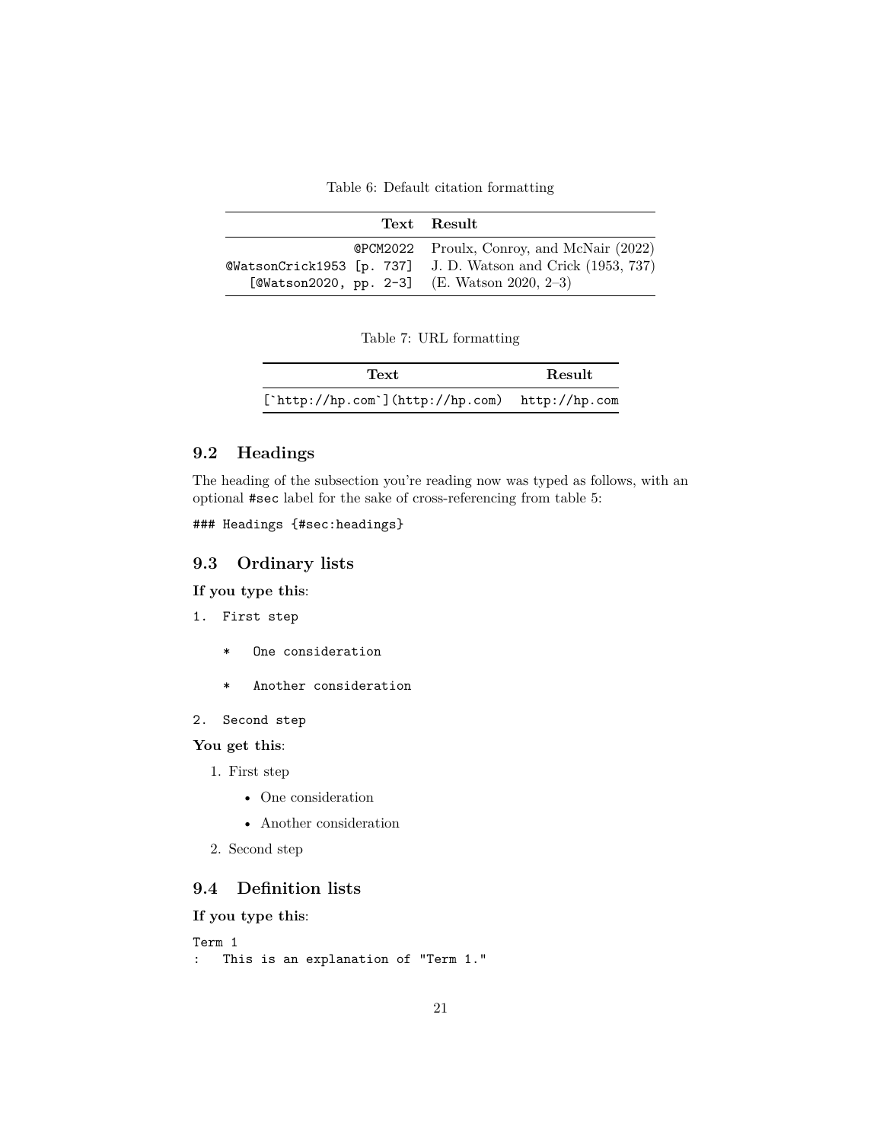Table 6: Default citation formatting

<span id="page-20-3"></span>

|                                              | Text Result                                                 |
|----------------------------------------------|-------------------------------------------------------------|
|                                              | <b>@PCM2022</b> Proulx, Conroy, and McNair (2022)           |
|                                              | @WatsonCrick1953 [p. 737] J.D. Watson and Crick (1953, 737) |
| [@Watson2020, pp. 2-3] (E. Watson 2020, 2-3) |                                                             |

|  |  |  | Table 7: URL formatting |
|--|--|--|-------------------------|
|--|--|--|-------------------------|

| Text                                                     | Result |
|----------------------------------------------------------|--------|
| $[\text{`http://hp.com`]} (http://hp.com)$ http://hp.com |        |

### <span id="page-20-0"></span>**9.2 Headings**

The heading of the subsection you're reading now was typed as follows, with an optional #sec label for the sake of cross-referencing from table [5:](#page-19-3)

### Headings {#sec:headings}

#### <span id="page-20-1"></span>**9.3 Ordinary lists**

**If you type this**:

- 1. First step
	- \* One consideration
	- \* Another consideration
- 2. Second step

**You get this**:

- 1. First step
	- One consideration
	- Another consideration
- 2. Second step

### <span id="page-20-2"></span>**9.4 Definition lists**

**If you type this**:

```
Term 1
: This is an explanation of "Term 1."
```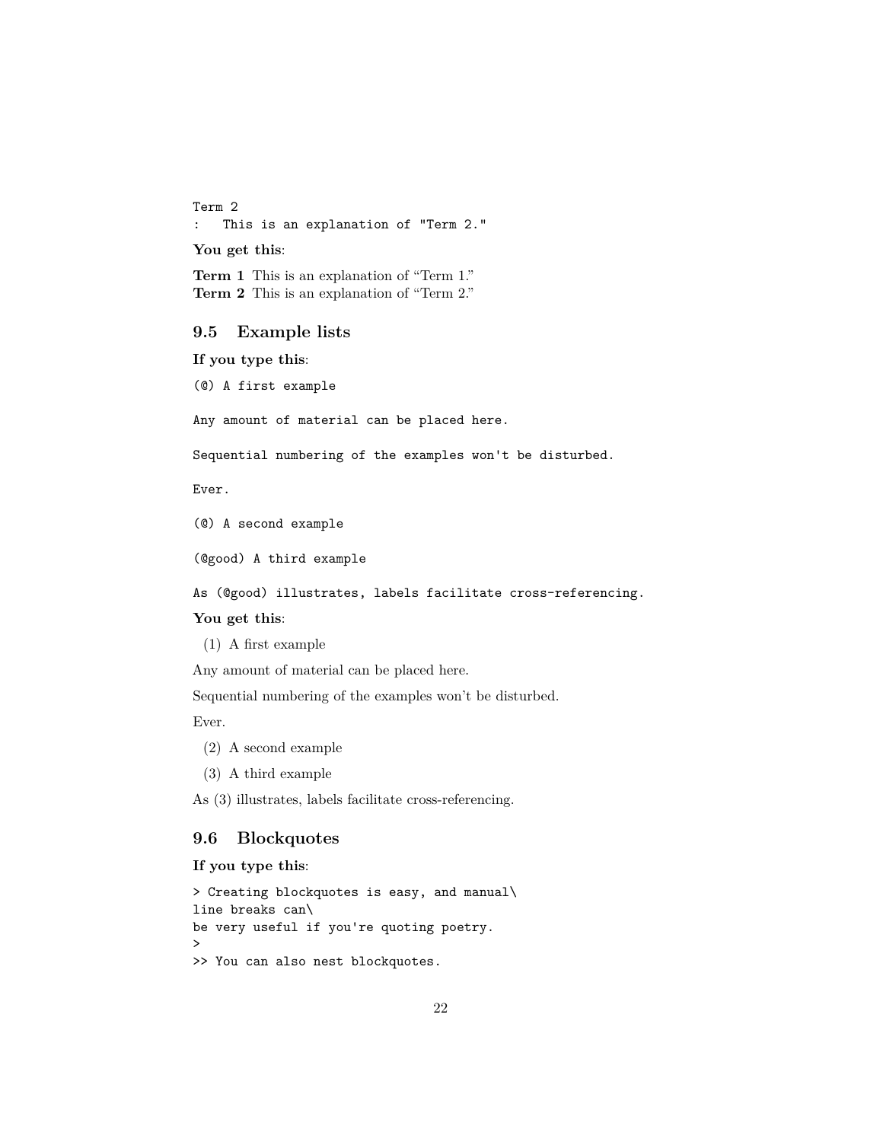Term 2 : This is an explanation of "Term 2."

**You get this**:

**Term 1** This is an explanation of "Term 1." **Term 2** This is an explanation of "Term 2."

#### <span id="page-21-0"></span>**9.5 Example lists**

**If you type this**:

(@) A first example

Any amount of material can be placed here.

Sequential numbering of the examples won't be disturbed.

Ever.

(@) A second example

(@good) A third example

As (@good) illustrates, labels facilitate cross-referencing.

#### **You get this**:

(1) A first example

Any amount of material can be placed here.

Sequential numbering of the examples won't be disturbed.

Ever.

- (2) A second example
- (3) A third example

As (3) illustrates, labels facilitate cross-referencing.

#### <span id="page-21-1"></span>**9.6 Blockquotes**

**If you type this**:

```
> Creating blockquotes is easy, and manual\
line breaks can\
be very useful if you're quoting poetry.
>
>> You can also nest blockquotes.
```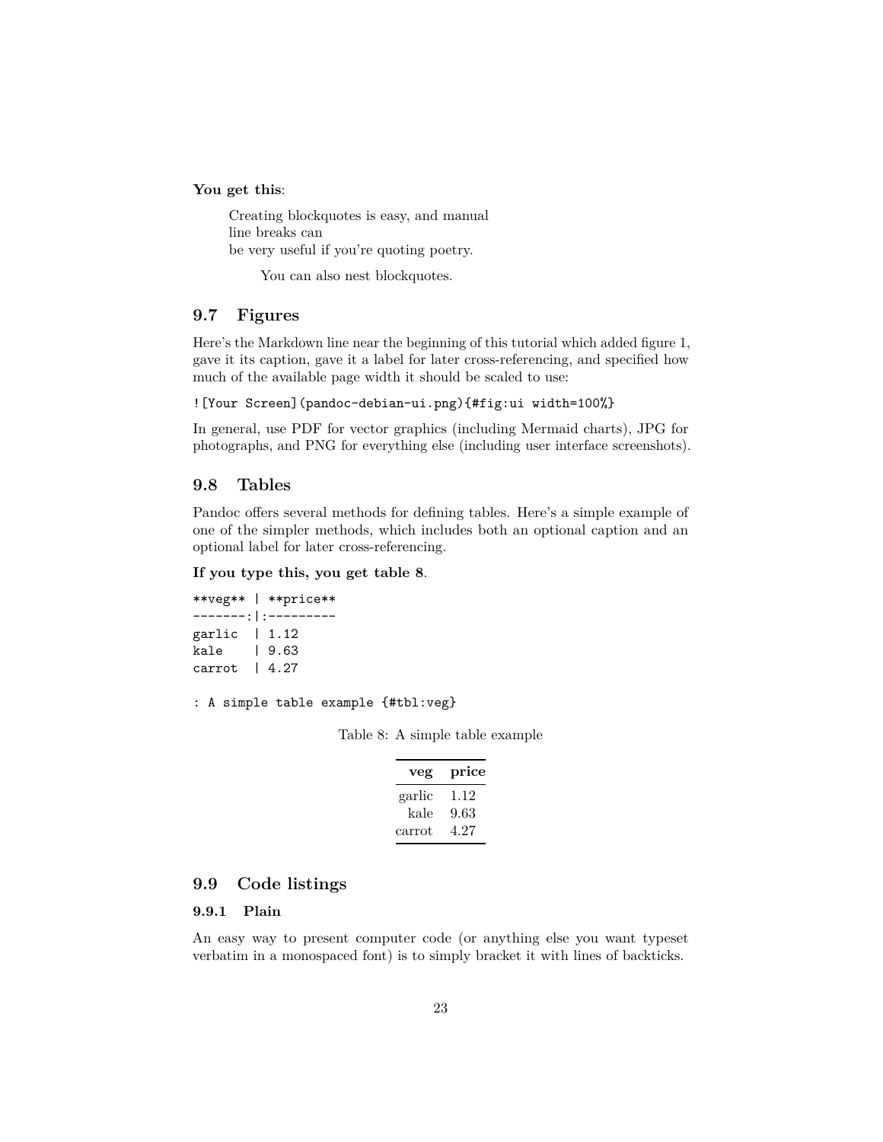**You get this**:

Creating blockquotes is easy, and manual line breaks can be very useful if you're quoting poetry.

You can also nest blockquotes.

#### <span id="page-22-0"></span>**9.7 Figures**

Here's the Markdown line near the beginning of this tutorial which added figure [1,](#page-2-4) gave it its caption, gave it a label for later cross-referencing, and specified how much of the available page width it should be scaled to use:

![Your Screen](pandoc-debian-ui.png){#fig:ui width=100%}

In general, use PDF for vector graphics (including Mermaid charts), JPG for photographs, and PNG for everything else (including user interface screenshots).

#### <span id="page-22-1"></span>**9.8 Tables**

Pandoc offers several methods for defining tables. Here's a simple example of one of the simpler methods, which includes both an optional caption and an optional label for later cross-referencing.

#### **If you type this, you get table [8](#page-22-4)**.

|                     | **veg**   **price** |
|---------------------|---------------------|
|                     |                     |
| garlic $\vert$ 1.12 |                     |
| kale                | 9.63                |
| carrot              | 14.27               |

```
: A simple table example {#tbl:veg}
```
Table 8: A simple table example

| veg    | price |
|--------|-------|
| garlic | 1.12  |
| kale   | 9.63  |
| carrot | 4.27  |

#### <span id="page-22-2"></span>**9.9 Code listings**

#### <span id="page-22-3"></span>**9.9.1 Plain**

An easy way to present computer code (or anything else you want typeset verbatim in a monospaced font) is to simply bracket it with lines of backticks.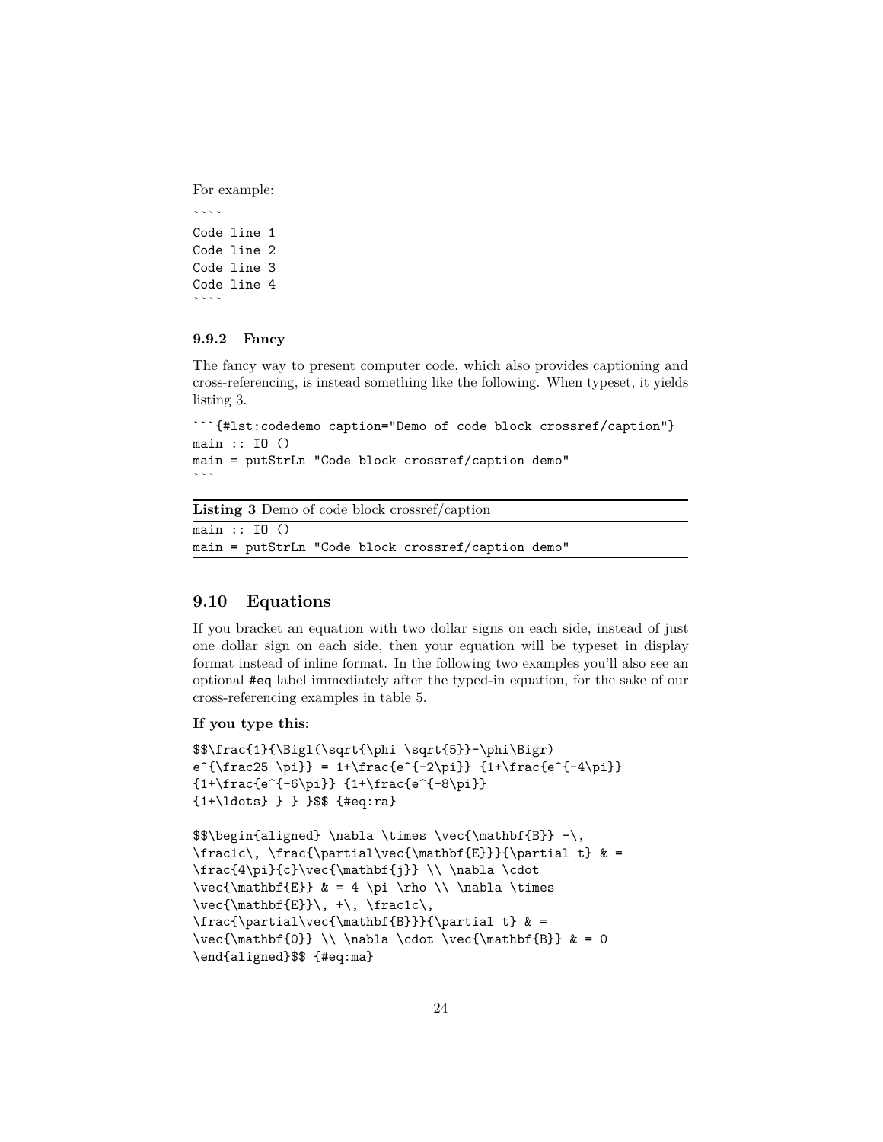For example:

 $\overline{\phantom{a}}$ 

Code line 1 Code line 2 Code line 3 Code line 4  $\ddot{\phantom{0}}$ 

#### <span id="page-23-0"></span>**9.9.2 Fancy**

The fancy way to present computer code, which also provides captioning and cross-referencing, is instead something like the following. When typeset, it yields listing [3.](#page-23-2)

```
```{#lst:codedemo caption="Demo of code block crossref/caption"}
main :: IO ()
main = putStrLn "Code block crossref/caption demo"
\ddot{\phantom{0}}
```
<span id="page-23-2"></span>**Listing 3** Demo of code block crossref/caption

main :: IO () main = putStrLn "Code block crossref/caption demo"

#### <span id="page-23-1"></span>**9.10 Equations**

If you bracket an equation with two dollar signs on each side, instead of just one dollar sign on each side, then your equation will be typeset in display format instead of inline format. In the following two examples you'll also see an optional #eq label immediately after the typed-in equation, for the sake of our cross-referencing examples in table [5.](#page-19-3)

**If you type this**:

```
$$\frac{1}{\Bigl(\sqrt{\phi \sqrt{5}}-\phi\Bigr)
e^{\frac{p^1}{2} = 1+\frac{e^{-2\pi}}{1+\frac{e^{-4\pi}}}{1+\frac{e^{-6\pi}} {1+\frac{e^{-8\pi}}
{1+\ldots} } } }$$ {#eq:ra}
```

```
\\begin{array}{c}\n\hbox{the case of the image of the image is a graph of the image. The image is a graph of the image is a graph of the image. The image is a graph of the image is a graph of the image. The image is a graph of the image is a graph of the image. The image is a graph of the image is a graph of the image. The image is a graph of the image is a graph of the image. The image is a graph of the image is a graph of the image. The image is a graph of the image is a graph of the image. The image is a graph of the image is a graph of the image. The image is a graph of the image is a graph of the image. The image is a graph of the image is a graph of the image is a graph of the image. The image is a graph of the image is a graph of the image is a graph of the image. The image is a graph of the image is a graph of the image
\frac{1}{\partial \theta} \frac1c\, \frac{\partial\vec{\mathbf{E}}}{\partial t} & =
\frac{4\pi}{c}\vec{\mathbf{j}} \\ \nabla \cdot
\vec{\mathbb{E}} & = 4 \pi \rho \\ \nabla \times
\vec{\mathbf{E}}\, +\, \frac1c\,
\frac{\partial\vec{\mathbf{B}}}{\partial t} & =
\vec{\mathbf{0}} \ \langle \cdot \cdot \cdot \cdot \cdot \mathbf{B} \ \& = 0\end{aligned}$$ {#eq:ma}
```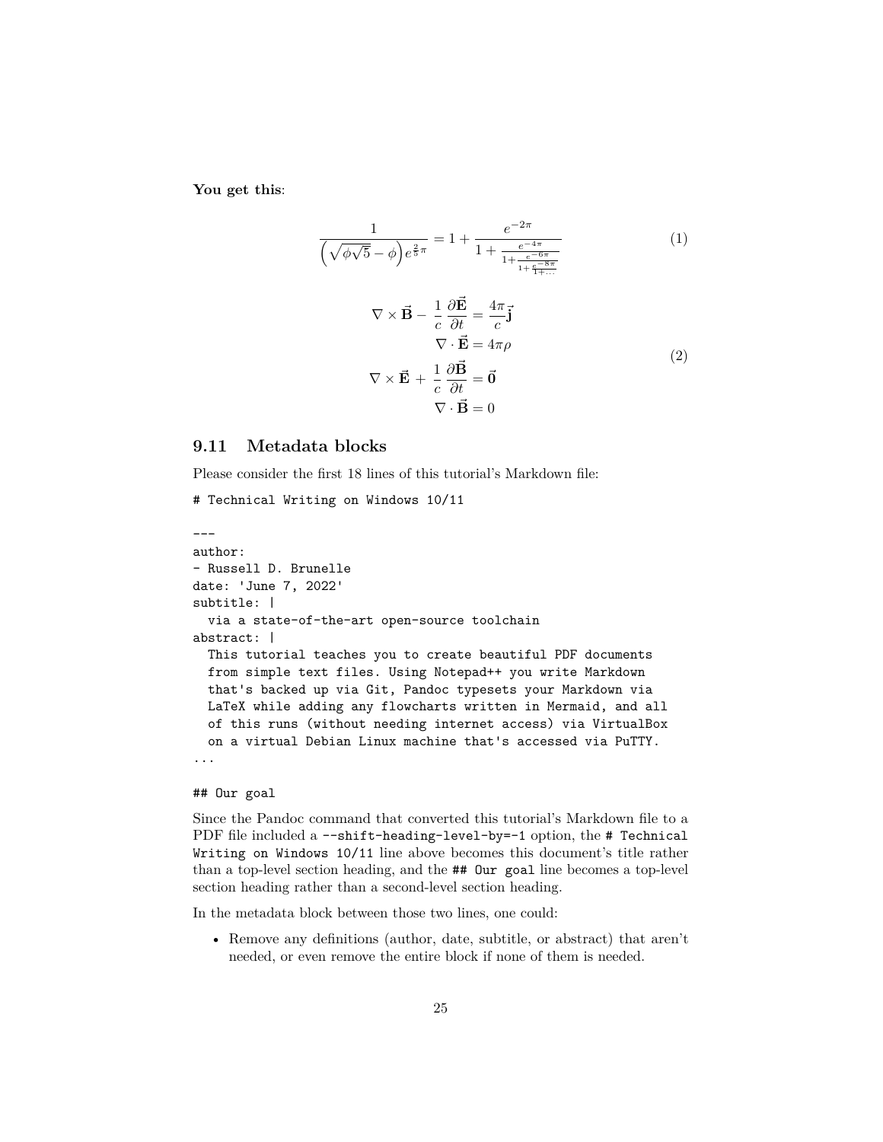**You get this**:

<span id="page-24-2"></span><span id="page-24-1"></span>
$$
\frac{1}{\left(\sqrt{\phi\sqrt{5}} - \phi\right)e^{\frac{2}{5}\pi}} = 1 + \frac{e^{-2\pi}}{1 + \frac{e^{-4\pi}}{1 + \frac{e^{-6\pi}}{1 + \frac{e^{-8\pi}}{1 + \dots}}}}
$$
(1)  

$$
\nabla \times \vec{B} - \frac{1}{c}\frac{\partial \vec{E}}{\partial t} = \frac{4\pi}{c}\vec{j}
$$

$$
\nabla \cdot \vec{E} = 4\pi\rho
$$

$$
\nabla \times \vec{E} + \frac{1}{c}\frac{\partial \vec{B}}{\partial t} = \vec{0}
$$

$$
\nabla \cdot \vec{B} = 0
$$

#### <span id="page-24-0"></span>**9.11 Metadata blocks**

Please consider the first 18 lines of this tutorial's Markdown file:

```
# Technical Writing on Windows 10/11
```

```
---
author:
- Russell D. Brunelle
date: 'June 7, 2022'
subtitle: |
 via a state-of-the-art open-source toolchain
abstract: |
  This tutorial teaches you to create beautiful PDF documents
 from simple text files. Using Notepad++ you write Markdown
 that's backed up via Git, Pandoc typesets your Markdown via
 LaTeX while adding any flowcharts written in Mermaid, and all
 of this runs (without needing internet access) via VirtualBox
 on a virtual Debian Linux machine that's accessed via PuTTY.
...
```
#### ## Our goal

Since the Pandoc command that converted this tutorial's Markdown file to a PDF file included a --shift-heading-level-by=-1 option, the # Technical Writing on Windows 10/11 line above becomes this document's title rather than a top-level section heading, and the ## Our goal line becomes a top-level section heading rather than a second-level section heading.

In the metadata block between those two lines, one could:

• Remove any definitions (author, date, subtitle, or abstract) that aren't needed, or even remove the entire block if none of them is needed.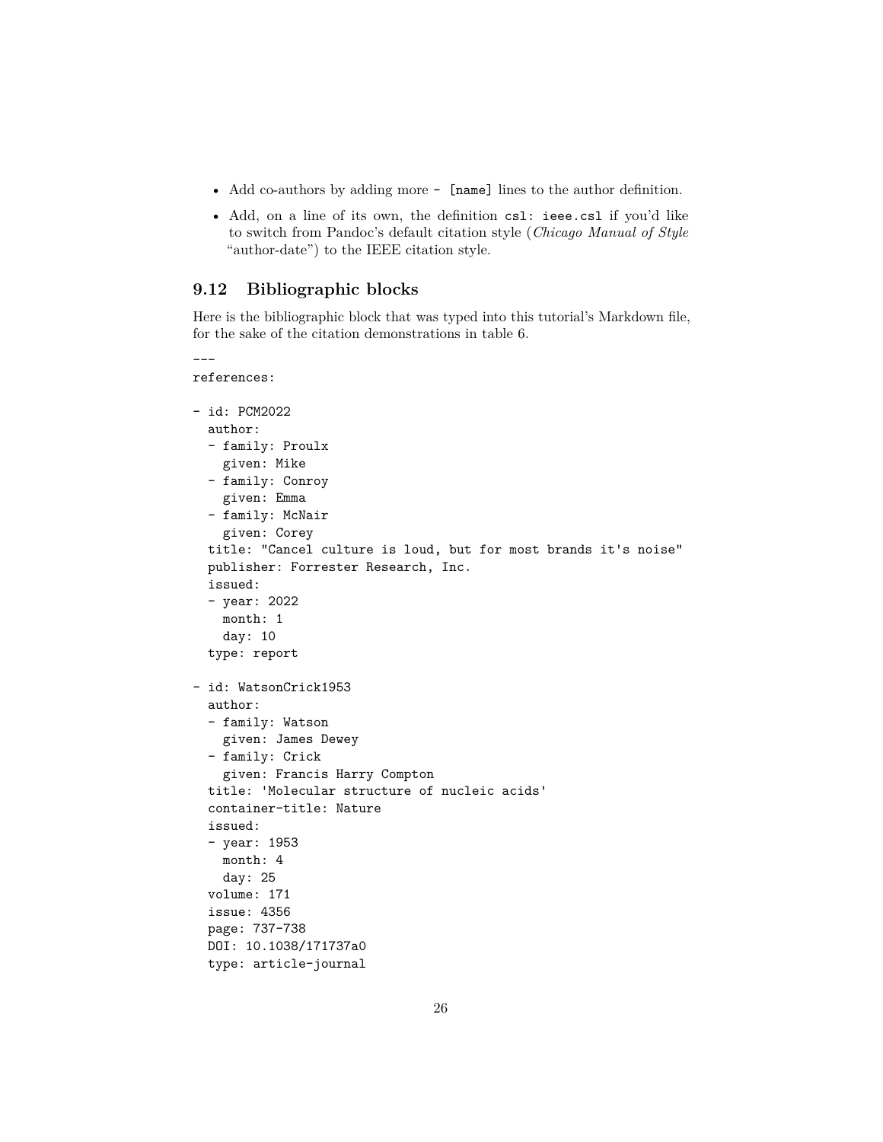- Add co-authors by adding more [name] lines to the author definition.
- Add, on a line of its own, the definition csl: ieee.csl if you'd like to switch from Pandoc's default citation style (*Chicago Manual of Style* "author-date") to the IEEE citation style.

#### <span id="page-25-0"></span>**9.12 Bibliographic blocks**

Here is the bibliographic block that was typed into this tutorial's Markdown file, for the sake of the citation demonstrations in table [6.](#page-20-3)

```
---
references:
- id: PCM2022
 author:
 - family: Proulx
   given: Mike
  - family: Conroy
   given: Emma
  - family: McNair
   given: Corey
 title: "Cancel culture is loud, but for most brands it's noise"
 publisher: Forrester Research, Inc.
 issued:
  - year: 2022
   month: 1
   day: 10
  type: report
- id: WatsonCrick1953
 author:
  - family: Watson
   given: James Dewey
  - family: Crick
   given: Francis Harry Compton
 title: 'Molecular structure of nucleic acids'
  container-title: Nature
 issued:
  - year: 1953
   month: 4
   day: 25
 volume: 171
  issue: 4356
 page: 737-738
 DOI: 10.1038/171737a0
 type: article-journal
```